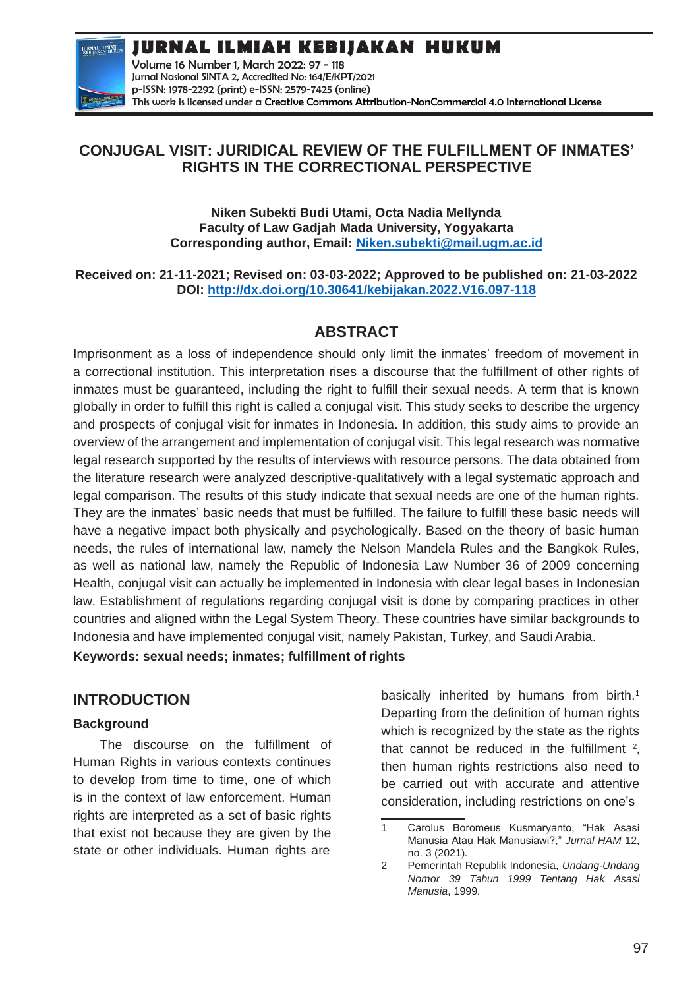**JURNAL ILMIAH**<br>KEBIJAKAN HUKUP

**JURNAL ILMIAH KEBIJAKAN HUKUM** Volume 16 Number 1, March 2022: 97 - 118 Jurnal Nasional SINTA 2, Accredited No: 164/E/KPT/2021

p-ISSN: 1978-2292 (print) e-ISSN: 2579-7425 (online) This work is licensed under a [Creative Commons Attribution-NonCommercial 4.0 International License](https://creativecommons.org/licenses/by-nc/4.0/)

## **CONJUGAL VISIT: JURIDICAL REVIEW OF THE FULFILLMENT OF INMATES' RIGHTS IN THE CORRECTIONAL PERSPECTIVE**

**Niken Subekti Budi Utami, Octa Nadia Mellynda Faculty of Law Gadjah Mada University, Yogyakarta Corresponding author, Email: [Niken.subekti@mail.ugm.ac.id](mailto:Niken.subekti@mail.ugm.ac.id)**

**Received on: 21-11-2021; Revised on: 03-03-2022; Approved to be published on: 21-03-2022 DOI:<http://dx.doi.org/10.30641/kebijakan.2022.V16.097-118>**

# **ABSTRACT**

Imprisonment as a loss of independence should only limit the inmates' freedom of movement in a correctional institution. This interpretation rises a discourse that the fulfillment of other rights of inmates must be guaranteed, including the right to fulfill their sexual needs. A term that is known globally in order to fulfill this right is called a conjugal visit. This study seeks to describe the urgency and prospects of conjugal visit for inmates in Indonesia. In addition, this study aims to provide an overview of the arrangement and implementation of conjugal visit. This legal research was normative legal research supported by the results of interviews with resource persons. The data obtained from the literature research were analyzed descriptive-qualitatively with a legal systematic approach and legal comparison. The results of this study indicate that sexual needs are one of the human rights. They are the inmates' basic needs that must be fulfilled. The failure to fulfill these basic needs will have a negative impact both physically and psychologically. Based on the theory of basic human needs, the rules of international law, namely the Nelson Mandela Rules and the Bangkok Rules, as well as national law, namely the Republic of Indonesia Law Number 36 of 2009 concerning Health, conjugal visit can actually be implemented in Indonesia with clear legal bases in Indonesian law. Establishment of regulations regarding conjugal visit is done by comparing practices in other countries and aligned withn the Legal System Theory. These countries have similar backgrounds to Indonesia and have implemented conjugal visit, namely Pakistan, Turkey, and Saudi Arabia.

**Keywords: sexual needs; inmates; fulfillment of rights**

## **INTRODUCTION**

#### **Background**

The discourse on the fulfillment of Human Rights in various contexts continues to develop from time to time, one of which is in the context of law enforcement. Human rights are interpreted as a set of basic rights that exist not because they are given by the state or other individuals. Human rights are

basically inherited by humans from birth.<sup>1</sup> Departing from the definition of human rights which is recognized by the state as the rights that cannot be reduced in the fulfillment  $2$ , then human rights restrictions also need to be carried out with accurate and attentive consideration, including restrictions on one's

<sup>1</sup> Carolus Boromeus Kusmaryanto, "Hak Asasi Manusia Atau Hak Manusiawi?," *Jurnal HAM* 12, no. 3 (2021).

<sup>2</sup> Pemerintah Republik Indonesia, *Undang-Undang Nomor 39 Tahun 1999 Tentang Hak Asasi Manusia*, 1999.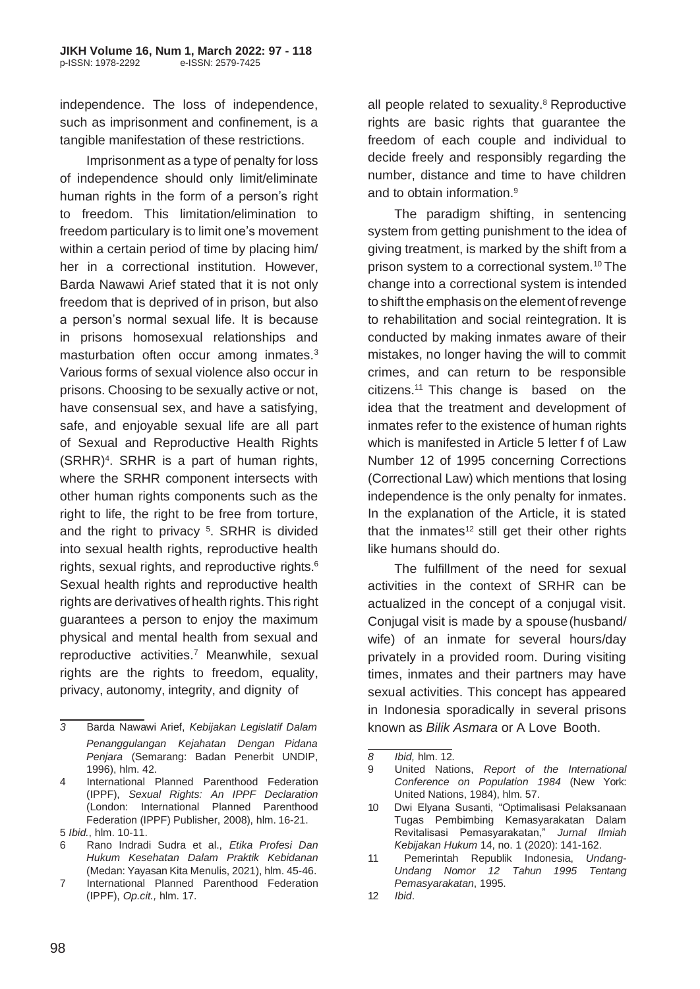independence. The loss of independence, such as imprisonment and confinement, is a tangible manifestation of these restrictions.

Imprisonment as a type of penalty for loss of independence should only limit/eliminate human rights in the form of a person's right to freedom. This limitation/elimination to freedom particulary is to limit one's movement within a certain period of time by placing him/ her in a correctional institution. However, Barda Nawawi Arief stated that it is not only freedom that is deprived of in prison, but also a person's normal sexual life. It is because in prisons homosexual relationships and masturbation often occur among inmates.<sup>3</sup> Various forms of sexual violence also occur in prisons. Choosing to be sexually active or not, have consensual sex, and have a satisfying, safe, and enjoyable sexual life are all part of Sexual and Reproductive Health Rights (SRHR)<sup>4</sup> . SRHR is a part of human rights, where the SRHR component intersects with other human rights components such as the right to life, the right to be free from torture, and the right to privacy <sup>5</sup> . SRHR is divided into sexual health rights, reproductive health rights, sexual rights, and reproductive rights.<sup>6</sup> Sexual health rights and reproductive health rights are derivatives of health rights.This right guarantees a person to enjoy the maximum physical and mental health from sexual and reproductive activities.<sup>7</sup> Meanwhile, sexual rights are the rights to freedom, equality, privacy, autonomy, integrity, and dignity of

all people related to sexuality.<sup>8</sup> Reproductive rights are basic rights that guarantee the freedom of each couple and individual to decide freely and responsibly regarding the number, distance and time to have children and to obtain information  $9$ 

The paradigm shifting, in sentencing system from getting punishment to the idea of giving treatment, is marked by the shift from a prison system to a correctional system.<sup>10</sup> The change into a correctional system is intended to shift the emphasis on the element of revenge to rehabilitation and social reintegration. It is conducted by making inmates aware of their mistakes, no longer having the will to commit crimes, and can return to be responsible citizens.<sup>11</sup> This change is based on the idea that the treatment and development of inmates refer to the existence of human rights which is manifested in Article 5 letter f of Law Number 12 of 1995 concerning Corrections (Correctional Law) which mentions that losing independence is the only penalty for inmates. In the explanation of the Article, it is stated that the inmates<sup>12</sup> still get their other rights like humans should do.

The fulfillment of the need for sexual activities in the context of SRHR can be actualized in the concept of a conjugal visit. Conjugal visit is made by a spouse(husband/ wife) of an inmate for several hours/day privately in a provided room. During visiting times, inmates and their partners may have sexual activities. This concept has appeared in Indonesia sporadically in several prisons known as *Bilik Asmara* or A Love Booth.

*<sup>3</sup>* Barda Nawawi Arief, *Kebijakan Legislatif Dalam Penanggulangan Kejahatan Dengan Pidana Penjara* (Semarang: Badan Penerbit UNDIP, 1996), hlm. 42.

<sup>4</sup> International Planned Parenthood Federation (IPPF), *Sexual Rights: An IPPF Declaration*  (London: International Planned Parenthood Federation (IPPF) Publisher, 2008), hlm. 16-21. 5 *Ibid.*, hlm. 10-11.

<sup>6</sup> Rano Indradi Sudra et al., *Etika Profesi Dan Hukum Kesehatan Dalam Praktik Kebidanan*  (Medan: Yayasan Kita Menulis, 2021), hlm. 45-46.

<sup>7</sup> International Planned Parenthood Federation (IPPF), *Op.cit.,* hlm. 17.

*<sup>8</sup> Ibid,* hlm. 12*.*

<sup>9</sup> United Nations, *Report of the International Conference on Population 1984* (New York: United Nations, 1984), hlm. 57.

<sup>10</sup> Dwi Elyana Susanti, "Optimalisasi Pelaksanaan Tugas Pembimbing Kemasyarakatan Dalam Revitalisasi Pemasyarakatan," *Jurnal Ilmiah Kebijakan Hukum* 14, no. 1 (2020): 141-162.

<sup>11</sup> Pemerintah Republik Indonesia, *Undang-Undang Nomor 12 Tahun 1995 Tentang Pemasyarakatan*, 1995.

<sup>12</sup> *Ibid*.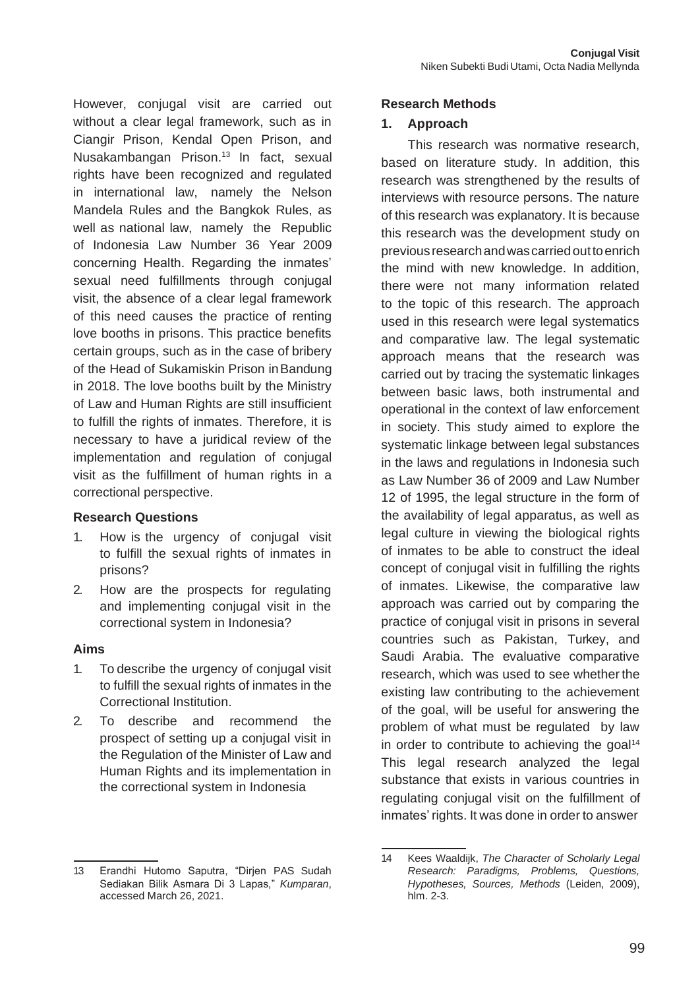However, conjugal visit are carried out without a clear legal framework, such as in Ciangir Prison, Kendal Open Prison, and Nusakambangan Prison.<sup>13</sup> In fact, sexual rights have been recognized and regulated in international law, namely the Nelson Mandela Rules and the Bangkok Rules, as well as national law, namely the Republic of Indonesia Law Number 36 Year 2009 concerning Health. Regarding the inmates' sexual need fulfillments through conjugal visit, the absence of a clear legal framework of this need causes the practice of renting love booths in prisons. This practice benefits certain groups, such as in the case of bribery of the Head of Sukamiskin Prison inBandung in 2018. The love booths built by the Ministry of Law and Human Rights are still insufficient to fulfill the rights of inmates. Therefore, it is necessary to have a juridical review of the implementation and regulation of conjugal visit as the fulfillment of human rights in a correctional perspective.

#### **Research Questions**

- 1. How is the urgency of conjugal visit to fulfill the sexual rights of inmates in prisons?
- 2. How are the prospects for regulating and implementing conjugal visit in the correctional system in Indonesia?

#### **Aims**

- 1. To describe the urgency of conjugal visit to fulfill the sexual rights of inmates in the Correctional Institution.
- 2. To describe and recommend the prospect of setting up a conjugal visit in the Regulation of the Minister of Law and Human Rights and its implementation in the correctional system in Indonesia

#### **Research Methods**

#### **1. Approach**

This research was normative research, based on literature study. In addition, this research was strengthened by the results of interviews with resource persons. The nature of this research was explanatory. It is because this research was the development study on previousresearchandwascarriedouttoenrich the mind with new knowledge. In addition, there were not many information related to the topic of this research. The approach used in this research were legal systematics and comparative law. The legal systematic approach means that the research was carried out by tracing the systematic linkages between basic laws, both instrumental and operational in the context of law enforcement in society. This study aimed to explore the systematic linkage between legal substances in the laws and regulations in Indonesia such as Law Number 36 of 2009 and Law Number 12 of 1995, the legal structure in the form of the availability of legal apparatus, as well as legal culture in viewing the biological rights of inmates to be able to construct the ideal concept of conjugal visit in fulfilling the rights of inmates. Likewise, the comparative law approach was carried out by comparing the practice of conjugal visit in prisons in several countries such as Pakistan, Turkey, and Saudi Arabia. The evaluative comparative research, which was used to see whether the existing law contributing to the achievement of the goal, will be useful for answering the problem of what must be regulated by law in order to contribute to achieving the goal<sup>14</sup> This legal research analyzed the legal substance that exists in various countries in regulating conjugal visit on the fulfillment of inmates' rights. It was done in order to answer

<sup>13</sup> Erandhi Hutomo Saputra, "Dirjen PAS Sudah Sediakan Bilik Asmara Di 3 Lapas," *Kumparan*, accessed March 26, 2021.

<sup>14</sup> Kees Waaldijk, *The Character of Scholarly Legal Research: Paradigms, Problems, Questions, Hypotheses, Sources, Methods* (Leiden, 2009), hlm. 2-3.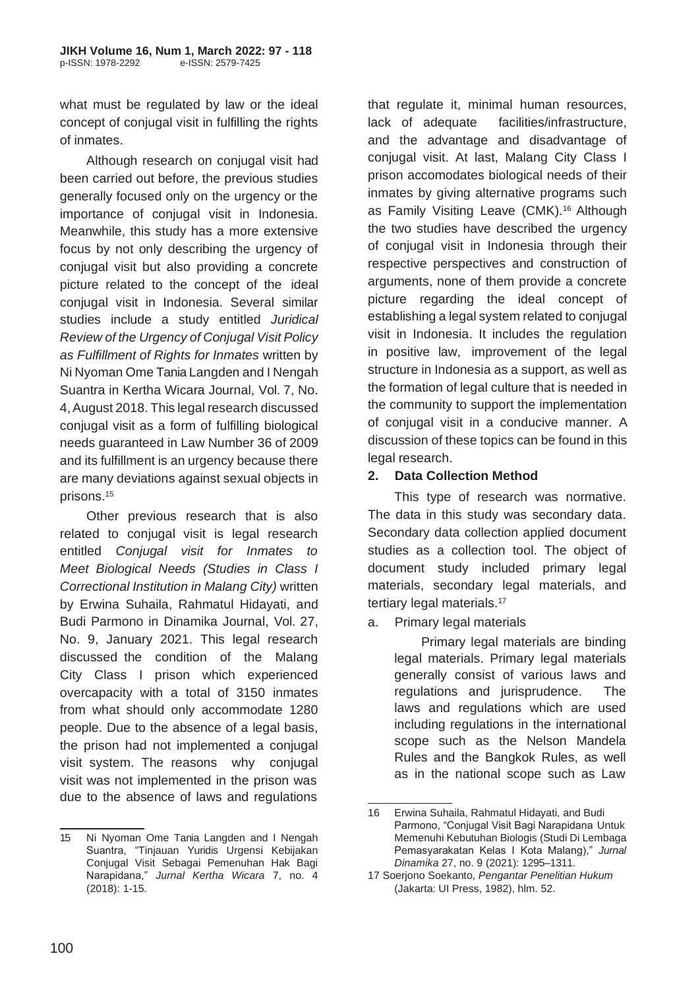what must be regulated by law or the ideal concept of conjugal visit in fulfilling the rights of inmates.

Although research on conjugal visit had been carried out before, the previous studies generally focused only on the urgency or the importance of conjugal visit in Indonesia. Meanwhile, this study has a more extensive focus by not only describing the urgency of conjugal visit but also providing a concrete picture related to the concept of the ideal conjugal visit in Indonesia. Several similar studies include a study entitled *Juridical Review of the Urgency of Conjugal Visit Policy as Fulfillment of Rights for Inmates* written by Ni Nyoman Ome Tania Langden and I Nengah Suantra in Kertha Wicara Journal, Vol. 7, No. 4,August 2018. This legal research discussed conjugal visit as a form of fulfilling biological needs guaranteed in Law Number 36 of 2009 and its fulfillment is an urgency because there are many deviations against sexual objects in prisons.<sup>15</sup>

Other previous research that is also related to conjugal visit is legal research entitled *Conjugal visit for Inmates to Meet Biological Needs (Studies in Class I Correctional Institution in Malang City)* written by Erwina Suhaila, Rahmatul Hidayati, and Budi Parmono in Dinamika Journal, Vol. 27, No. 9, January 2021. This legal research discussed the condition of the Malang City Class I prison which experienced overcapacity with a total of 3150 inmates from what should only accommodate 1280 people. Due to the absence of a legal basis, the prison had not implemented a conjugal visit system. The reasons why conjugal visit was not implemented in the prison was due to the absence of laws and regulations

that regulate it, minimal human resources, lack of adequate facilities/infrastructure, and the advantage and disadvantage of conjugal visit. At last, Malang City Class I prison accomodates biological needs of their inmates by giving alternative programs such as Family Visiting Leave (CMK).<sup>16</sup> Although the two studies have described the urgency of conjugal visit in Indonesia through their respective perspectives and construction of arguments, none of them provide a concrete picture regarding the ideal concept of establishing a legal system related to conjugal visit in Indonesia. It includes the regulation in positive law, improvement of the legal structure in Indonesia as a support, as well as the formation of legal culture that is needed in the community to support the implementation of conjugal visit in a conducive manner. A discussion of these topics can be found in this legal research.

#### **2. Data Collection Method**

This type of research was normative. The data in this study was secondary data. Secondary data collection applied document studies as a collection tool. The object of document study included primary legal materials, secondary legal materials, and tertiary legal materials.<sup>17</sup>

a. Primary legal materials

Primary legal materials are binding legal materials. Primary legal materials generally consist of various laws and regulations and jurisprudence. The laws and regulations which are used including regulations in the international scope such as the Nelson Mandela Rules and the Bangkok Rules, as well as in the national scope such as Law

<sup>15</sup> Ni Nyoman Ome Tania Langden and I Nengah Suantra, "Tinjauan Yuridis Urgensi Kebijakan Conjugal Visit Sebagai Pemenuhan Hak Bagi Narapidana," *Jurnal Kertha Wicara* 7, no. 4 (2018): 1-15.

<sup>16</sup> Erwina Suhaila, Rahmatul Hidayati, and Budi Parmono, "Conjugal Visit Bagi Narapidana Untuk Memenuhi Kebutuhan Biologis (Studi Di Lembaga Pemasyarakatan Kelas I Kota Malang)," *Jurnal Dinamika* 27, no. 9 (2021): 1295–1311.

<sup>17</sup> Soerjono Soekanto, *Pengantar Penelitian Hukum* (Jakarta: UI Press, 1982), hlm. 52.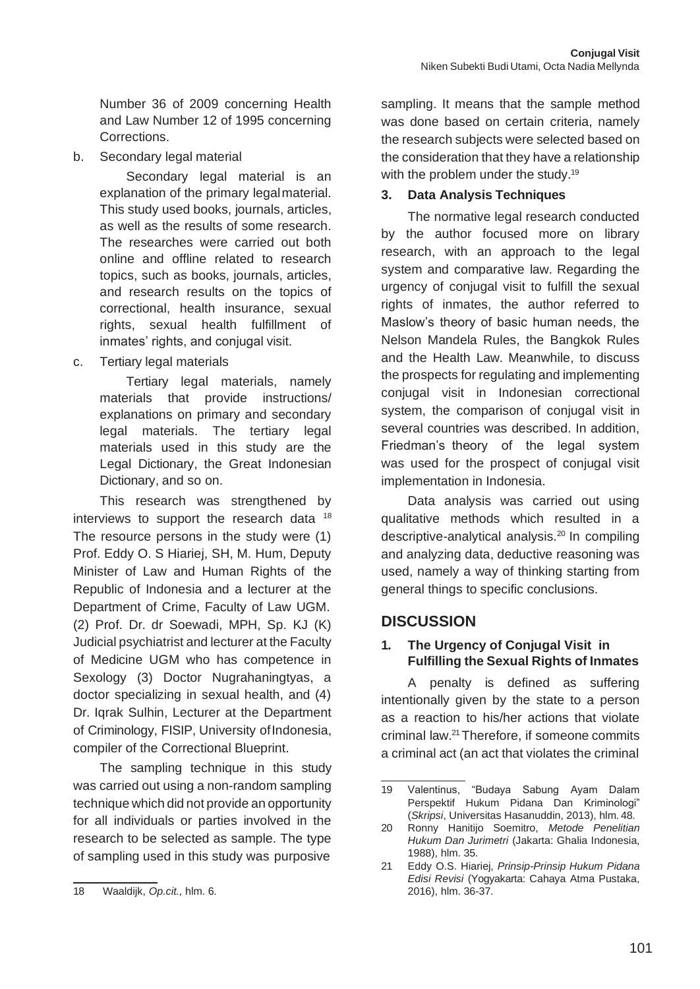Number 36 of 2009 concerning Health and Law Number 12 of 1995 concerning Corrections.

b. Secondary legal material

Secondary legal material is an explanation of the primary legalmaterial. This study used books, journals, articles, as well as the results of some research. The researches were carried out both online and offline related to research topics, such as books, journals, articles, and research results on the topics of correctional, health insurance, sexual rights, sexual health fulfillment of inmates' rights, and conjugal visit.

c. Tertiary legal materials

Tertiary legal materials, namely materials that provide instructions/ explanations on primary and secondary legal materials. The tertiary legal materials used in this study are the Legal Dictionary, the Great Indonesian Dictionary, and so on.

This research was strengthened by interviews to support the research data <sup>18</sup> The resource persons in the study were (1) Prof. Eddy O. S Hiariej, SH, M. Hum, Deputy Minister of Law and Human Rights of the Republic of Indonesia and a lecturer at the Department of Crime, Faculty of Law UGM. (2) Prof. Dr. dr Soewadi, MPH, Sp. KJ (K) Judicial psychiatrist and lecturer at the Faculty of Medicine UGM who has competence in Sexology (3) Doctor Nugrahaningtyas, a doctor specializing in sexual health, and (4) Dr. Iqrak Sulhin, Lecturer at the Department of Criminology, FISIP, University of Indonesia, compiler of the Correctional Blueprint.

The sampling technique in this study was carried out using a non-random sampling technique which did not provide an opportunity for all individuals or parties involved in the research to be selected as sample. The type of sampling used in this study was purposive

sampling. It means that the sample method was done based on certain criteria, namely the research subjects were selected based on the consideration that they have a relationship with the problem under the study.<sup>19</sup>

#### **3. Data Analysis Techniques**

The normative legal research conducted by the author focused more on library research, with an approach to the legal system and comparative law. Regarding the urgency of conjugal visit to fulfill the sexual rights of inmates, the author referred to Maslow's theory of basic human needs, the Nelson Mandela Rules, the Bangkok Rules and the Health Law. Meanwhile, to discuss the prospects for regulating and implementing conjugal visit in Indonesian correctional system, the comparison of conjugal visit in several countries was described. In addition, Friedman's theory of the legal system was used for the prospect of conjugal visit implementation in Indonesia.

Data analysis was carried out using qualitative methods which resulted in a descriptive-analytical analysis.<sup>20</sup> In compiling and analyzing data, deductive reasoning was used, namely a way of thinking starting from general things to specific conclusions.

# **DISCUSSION**

#### **1. The Urgency of Conjugal Visit in Fulfilling the Sexual Rights of Inmates**

A penalty is defined as suffering intentionally given by the state to a person as a reaction to his/her actions that violate criminal law.<sup>21</sup>Therefore, if someone commits a criminal act (an act that violates the criminal

<sup>18</sup> Waaldijk, *Op.cit.,* hlm. 6.

<sup>19</sup> Valentinus, "Budaya Sabung Ayam Dalam Perspektif Hukum Pidana Dan Kriminologi" (*Skripsi*, Universitas Hasanuddin, 2013), hlm. 48.

<sup>20</sup> Ronny Hanitijo Soemitro, *Metode Penelitian Hukum Dan Jurimetri* (Jakarta: Ghalia Indonesia, 1988), hlm. 35.

<sup>21</sup> Eddy O.S. Hiariej, *Prinsip-Prinsip Hukum Pidana Edisi Revisi* (Yogyakarta: Cahaya Atma Pustaka, 2016), hlm. 36-37.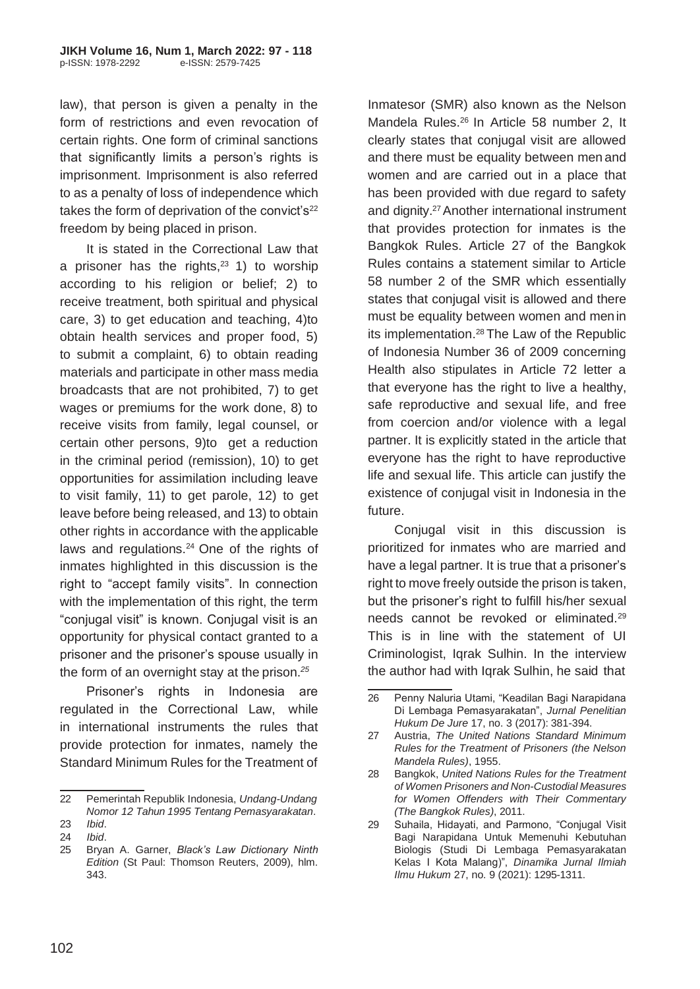law), that person is given a penalty in the form of restrictions and even revocation of certain rights. One form of criminal sanctions that significantly limits a person's rights is imprisonment. Imprisonment is also referred to as a penalty of loss of independence which takes the form of deprivation of the convict's $22$ freedom by being placed in prison.

It is stated in the Correctional Law that a prisoner has the rights, $23$  1) to worship according to his religion or belief; 2) to receive treatment, both spiritual and physical care, 3) to get education and teaching, 4)to obtain health services and proper food, 5) to submit a complaint, 6) to obtain reading materials and participate in other mass media broadcasts that are not prohibited, 7) to get wages or premiums for the work done, 8) to receive visits from family, legal counsel, or certain other persons, 9)to get a reduction in the criminal period (remission), 10) to get opportunities for assimilation including leave to visit family, 11) to get parole, 12) to get leave before being released, and 13) to obtain other rights in accordance with the applicable laws and regulations.<sup>24</sup> One of the rights of inmates highlighted in this discussion is the right to "accept family visits". In connection with the implementation of this right, the term "conjugal visit" is known. Conjugal visit is an opportunity for physical contact granted to a prisoner and the prisoner's spouse usually in the form of an overnight stay at the prison.*<sup>25</sup>*

Prisoner's rights in Indonesia are regulated in the Correctional Law, while in international instruments the rules that provide protection for inmates, namely the Standard Minimum Rules for the Treatment of

Inmatesor (SMR) also known as the Nelson Mandela Rules.<sup>26</sup> In Article 58 number 2, It clearly states that conjugal visit are allowed and there must be equality between men and women and are carried out in a place that has been provided with due regard to safety and dignity.<sup>27</sup> Another international instrument that provides protection for inmates is the Bangkok Rules. Article 27 of the Bangkok Rules contains a statement similar to Article 58 number 2 of the SMR which essentially states that conjugal visit is allowed and there must be equality between women and menin its implementation.<sup>28</sup> The Law of the Republic of Indonesia Number 36 of 2009 concerning Health also stipulates in Article 72 letter a that everyone has the right to live a healthy, safe reproductive and sexual life, and free from coercion and/or violence with a legal partner. It is explicitly stated in the article that everyone has the right to have reproductive life and sexual life. This article can justify the existence of conjugal visit in Indonesia in the future.

Conjugal visit in this discussion is prioritized for inmates who are married and have a legal partner. It is true that a prisoner's right to move freely outside the prison is taken, but the prisoner's right to fulfill his/her sexual needs cannot be revoked or eliminated.<sup>29</sup> This is in line with the statement of UI Criminologist, Iqrak Sulhin. In the interview the author had with Iqrak Sulhin, he said that

<sup>22</sup> Pemerintah Republik Indonesia, *Undang-Undang Nomor 12 Tahun 1995 Tentang Pemasyarakatan*.

<sup>23</sup> *Ibid*. 24 *Ibid*.

<sup>25</sup> Bryan A. Garner, *Black's Law Dictionary Ninth Edition* (St Paul: Thomson Reuters, 2009), hlm. 343.

<sup>26</sup> Penny Naluria Utami, "Keadilan Bagi Narapidana Di Lembaga Pemasyarakatan", *Jurnal Penelitian Hukum De Jure* 17, no. 3 (2017): 381-394.

<sup>27</sup> Austria, *The United Nations Standard Minimum Rules for the Treatment of Prisoners (the Nelson Mandela Rules)*, 1955.

<sup>28</sup> Bangkok, *United Nations Rules for the Treatment of Women Prisoners and Non-Custodial Measures for Women Offenders with Their Commentary (The Bangkok Rules)*, 2011.

<sup>29</sup> Suhaila, Hidayati, and Parmono, "Conjugal Visit Bagi Narapidana Untuk Memenuhi Kebutuhan Biologis (Studi Di Lembaga Pemasyarakatan Kelas I Kota Malang)", *Dinamika Jurnal Ilmiah Ilmu Hukum* 27, no. 9 (2021): 1295-1311.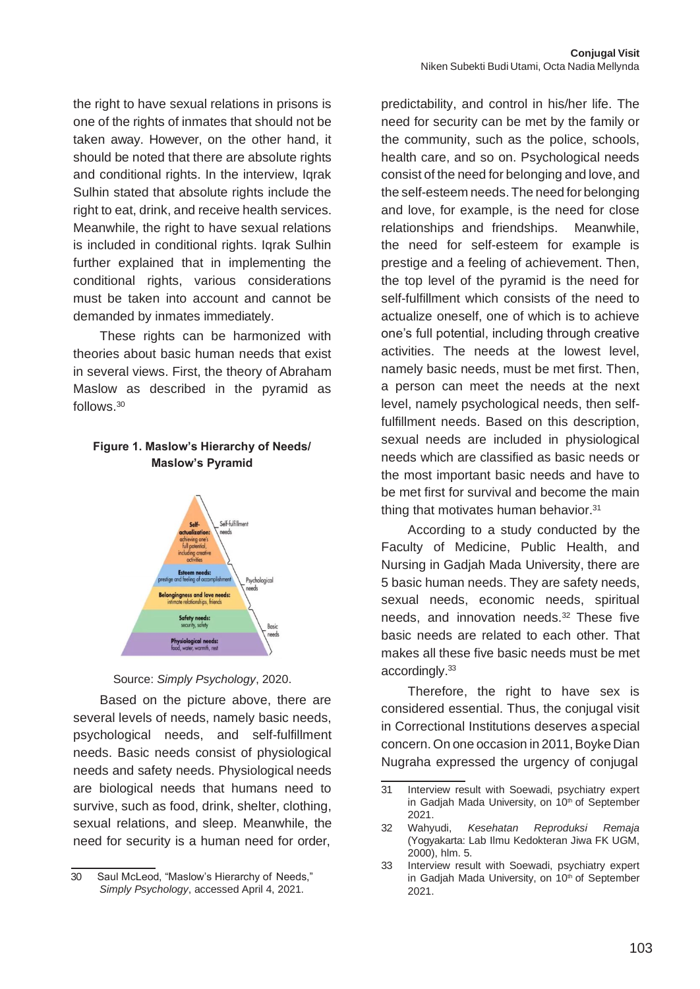the right to have sexual relations in prisons is one of the rights of inmates that should not be taken away. However, on the other hand, it should be noted that there are absolute rights and conditional rights. In the interview, Iqrak Sulhin stated that absolute rights include the right to eat, drink, and receive health services. Meanwhile, the right to have sexual relations is included in conditional rights. Iqrak Sulhin further explained that in implementing the conditional rights, various considerations must be taken into account and cannot be demanded by inmates immediately.

These rights can be harmonized with theories about basic human needs that exist in several views. First, the theory of Abraham Maslow as described in the pyramid as follows.<sup>30</sup>

#### **Figure 1. Maslow's Hierarchy of Needs/ Maslow's Pyramid**





Based on the picture above, there are several levels of needs, namely basic needs, psychological needs, and self-fulfillment needs. Basic needs consist of physiological needs and safety needs. Physiological needs are biological needs that humans need to survive, such as food, drink, shelter, clothing, sexual relations, and sleep. Meanwhile, the need for security is a human need for order,

predictability, and control in his/her life. The need for security can be met by the family or the community, such as the police, schools, health care, and so on. Psychological needs consist of the need for belonging and love, and the self-esteem needs.The need for belonging and love, for example, is the need for close relationships and friendships. Meanwhile, the need for self-esteem for example is prestige and a feeling of achievement. Then, the top level of the pyramid is the need for self-fulfillment which consists of the need to actualize oneself, one of which is to achieve one's full potential, including through creative activities. The needs at the lowest level, namely basic needs, must be met first. Then, a person can meet the needs at the next level, namely psychological needs, then selffulfillment needs. Based on this description, sexual needs are included in physiological needs which are classified as basic needs or the most important basic needs and have to be met first for survival and become the main thing that motivates human behavior.<sup>31</sup>

According to a study conducted by the Faculty of Medicine, Public Health, and Nursing in Gadjah Mada University, there are 5 basic human needs. They are safety needs, sexual needs, economic needs, spiritual needs, and innovation needs.<sup>32</sup> These five basic needs are related to each other. That makes all these five basic needs must be met accordingly.<sup>33</sup>

Therefore, the right to have sex is considered essential. Thus, the conjugal visit in Correctional Institutions deserves aspecial concern. On one occasion in 2011, Boyke Dian Nugraha expressed the urgency of conjugal

<sup>30</sup> Saul McLeod, "Maslow's Hierarchy of Needs," *Simply Psychology*, accessed April 4, 2021.

<sup>31</sup> Interview result with Soewadi, psychiatry expert in Gadjah Mada University, on 10<sup>th</sup> of September 2021.

<sup>32</sup> Wahyudi, *Kesehatan Reproduksi Remaja*  (Yogyakarta: Lab Ilmu Kedokteran Jiwa FK UGM, 2000), hlm. 5.

<sup>33</sup> Interview result with Soewadi, psychiatry expert in Gadjah Mada University, on 10<sup>th</sup> of September 2021.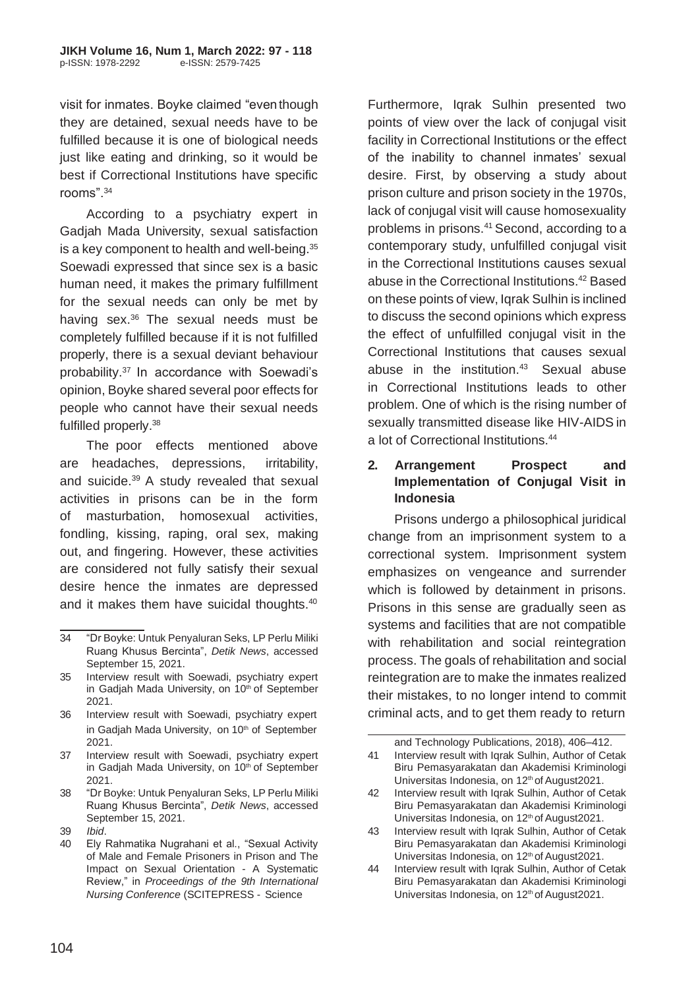visit for inmates. Boyke claimed "eventhough they are detained, sexual needs have to be fulfilled because it is one of biological needs just like eating and drinking, so it would be best if Correctional Institutions have specific rooms".<sup>34</sup>

According to a psychiatry expert in Gadjah Mada University, sexual satisfaction is a key component to health and well-being.<sup>35</sup> Soewadi expressed that since sex is a basic human need, it makes the primary fulfillment for the sexual needs can only be met by having sex. $36$  The sexual needs must be completely fulfilled because if it is not fulfilled properly, there is a sexual deviant behaviour probability. $37$  In accordance with Soewadi's opinion, Boyke shared several poor effects for people who cannot have their sexual needs fulfilled properly.<sup>38</sup>

The poor effects mentioned above are headaches, depressions, irritability, and suicide.<sup>39</sup> A study revealed that sexual activities in prisons can be in the form of masturbation, homosexual activities, fondling, kissing, raping, oral sex, making out, and fingering. However, these activities are considered not fully satisfy their sexual desire hence the inmates are depressed and it makes them have suicidal thoughts.<sup>40</sup>

- 36 Interview result with Soewadi, psychiatry expert in Gadjah Mada University, on 10<sup>th</sup> of September 2021.
- 37 Interview result with Soewadi, psychiatry expert in Gadjah Mada University, on 10<sup>th</sup> of September 2021.
- 38 "Dr Boyke: Untuk Penyaluran Seks, LP Perlu Miliki Ruang Khusus Bercinta", *Detik News*, accessed September 15, 2021.
- 39 *Ibid*.

Furthermore, Iqrak Sulhin presented two points of view over the lack of conjugal visit facility in Correctional Institutions or the effect of the inability to channel inmates' sexual desire. First, by observing a study about prison culture and prison society in the 1970s, lack of conjugal visit will cause homosexuality problems in prisons.<sup>41</sup> Second, according to a contemporary study, unfulfilled conjugal visit in the Correctional Institutions causes sexual abuse in the Correctional Institutions.<sup>42</sup> Based on these points of view, Iqrak Sulhin is inclined to discuss the second opinions which express the effect of unfulfilled conjugal visit in the Correctional Institutions that causes sexual abuse in the institution.<sup>43</sup> Sexual abuse in Correctional Institutions leads to other problem. One of which is the rising number of sexually transmitted disease like HIV-AIDS in a lot of Correctional Institutions.<sup>44</sup>

#### **2. Arrangement Prospect and Implementation of Conjugal Visit in Indonesia**

Prisons undergo a philosophical juridical change from an imprisonment system to a correctional system. Imprisonment system emphasizes on vengeance and surrender which is followed by detainment in prisons. Prisons in this sense are gradually seen as systems and facilities that are not compatible with rehabilitation and social reintegration process. The goals of rehabilitation and social reintegration are to make the inmates realized their mistakes, to no longer intend to commit criminal acts, and to get them ready to return

<sup>34</sup> "Dr Boyke: Untuk Penyaluran Seks, LP Perlu Miliki Ruang Khusus Bercinta", *Detik News*, accessed September 15, 2021.

<sup>35</sup> Interview result with Soewadi, psychiatry expert in Gadjah Mada University, on 10<sup>th</sup> of September 2021.

<sup>40</sup> Ely Rahmatika Nugrahani et al., "Sexual Activity of Male and Female Prisoners in Prison and The Impact on Sexual Orientation - A Systematic Review," in *Proceedings of the 9th International Nursing Conference* (SCITEPRESS - Science

and Technology Publications, 2018), 406–412. 41 Interview result with Iqrak Sulhin, Author of Cetak Biru Pemasyarakatan dan Akademisi Kriminologi Universitas Indonesia, on 12<sup>th</sup> of August2021.

<sup>42</sup> Interview result with Iqrak Sulhin, Author of Cetak Biru Pemasyarakatan dan Akademisi Kriminologi Universitas Indonesia, on 12<sup>th</sup> of August2021.

<sup>43</sup> Interview result with Iqrak Sulhin, Author of Cetak Biru Pemasyarakatan dan Akademisi Kriminologi Universitas Indonesia, on 12<sup>th</sup> of August2021.

<sup>44</sup> Interview result with Iqrak Sulhin, Author of Cetak Biru Pemasyarakatan dan Akademisi Kriminologi Universitas Indonesia, on 12<sup>th</sup> of August2021.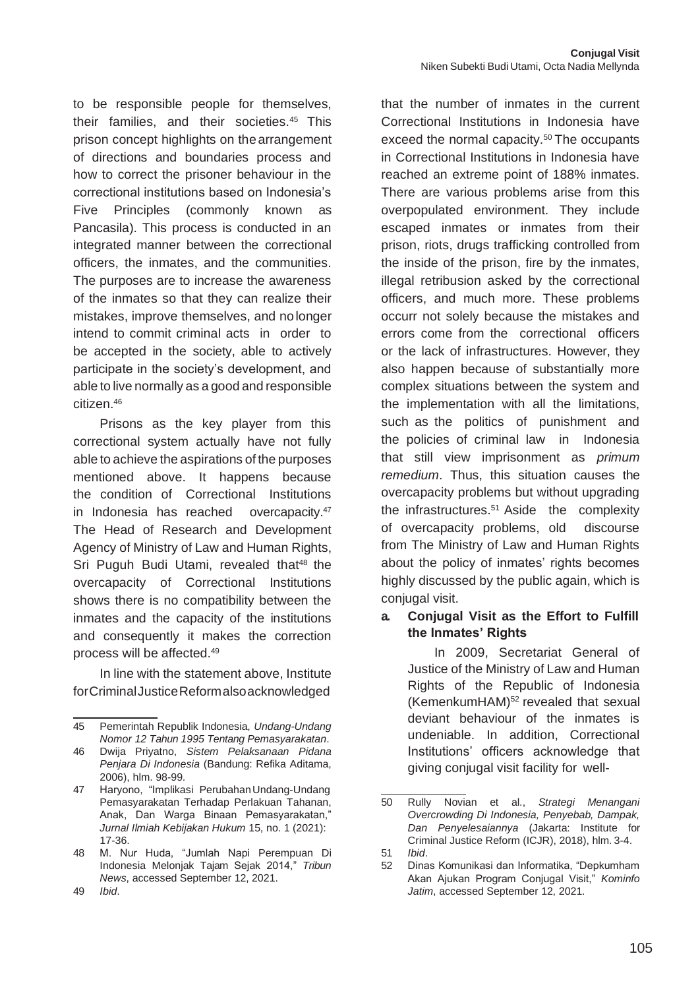to be responsible people for themselves, their families, and their societies.<sup>45</sup> This prison concept highlights on thearrangement of directions and boundaries process and how to correct the prisoner behaviour in the correctional institutions based on Indonesia's Five Principles (commonly known as Pancasila). This process is conducted in an integrated manner between the correctional officers, the inmates, and the communities. The purposes are to increase the awareness of the inmates so that they can realize their mistakes, improve themselves, and no longer intend to commit criminal acts in order to be accepted in the society, able to actively participate in the society's development, and able to live normally as a good and responsible citizen.<sup>46</sup>

Prisons as the key player from this correctional system actually have not fully able to achieve the aspirations of the purposes mentioned above. It happens because the condition of Correctional Institutions in Indonesia has reached overcapacity.<sup>47</sup> The Head of Research and Development Agency of Ministry of Law and Human Rights, Sri Puguh Budi Utami, revealed that<sup>48</sup> the overcapacity of Correctional Institutions shows there is no compatibility between the inmates and the capacity of the institutions and consequently it makes the correction process will be affected.<sup>49</sup>

In line with the statement above, Institute forCriminalJusticeReformalsoacknowledged

46 Dwija Priyatno, *Sistem Pelaksanaan Pidana Penjara Di Indonesia* (Bandung: Refika Aditama, 2006), hlm. 98-99.

47 Haryono, "Implikasi PerubahanUndang-Undang Pemasyarakatan Terhadap Perlakuan Tahanan, Anak, Dan Warga Binaan Pemasyarakatan," *Jurnal Ilmiah Kebijakan Hukum* 15, no. 1 (2021): 17-36.

that the number of inmates in the current Correctional Institutions in Indonesia have exceed the normal capacity.<sup>50</sup> The occupants in Correctional Institutions in Indonesia have reached an extreme point of 188% inmates. There are various problems arise from this overpopulated environment. They include escaped inmates or inmates from their prison, riots, drugs trafficking controlled from the inside of the prison, fire by the inmates, illegal retribusion asked by the correctional officers, and much more. These problems occurr not solely because the mistakes and errors come from the correctional officers or the lack of infrastructures. However, they also happen because of substantially more complex situations between the system and the implementation with all the limitations, such as the politics of punishment and the policies of criminal law in Indonesia that still view imprisonment as *primum remedium*. Thus, this situation causes the overcapacity problems but without upgrading the infrastructures. $51$  Aside the complexity of overcapacity problems, old discourse from The Ministry of Law and Human Rights about the policy of inmates' rights becomes highly discussed by the public again, which is conjugal visit.

#### **a. Conjugal Visit as the Effort to Fulfill the Inmates' Rights**

In 2009, Secretariat General of Justice of the Ministry of Law and Human Rights of the Republic of Indonesia  $(KemenkumHAM)<sup>52</sup> revealed that sexual$ deviant behaviour of the inmates is undeniable. In addition, Correctional Institutions' officers acknowledge that giving conjugal visit facility for well-

<sup>45</sup> Pemerintah Republik Indonesia, *Undang-Undang Nomor 12 Tahun 1995 Tentang Pemasyarakatan*.

<sup>48</sup> M. Nur Huda, "Jumlah Napi Perempuan Di Indonesia Melonjak Tajam Sejak 2014," *Tribun News*, accessed September 12, 2021.

<sup>50</sup> Rully Novian et al., *Strategi Menangani Overcrowding Di Indonesia, Penyebab, Dampak, Dan Penyelesaiannya* (Jakarta: Institute for Criminal Justice Reform (ICJR), 2018), hlm. 3-4.

<sup>51</sup> *Ibid*.

<sup>52</sup> Dinas Komunikasi dan Informatika, "Depkumham Akan Ajukan Program Conjugal Visit," *Kominfo Jatim*, accessed September 12, 2021.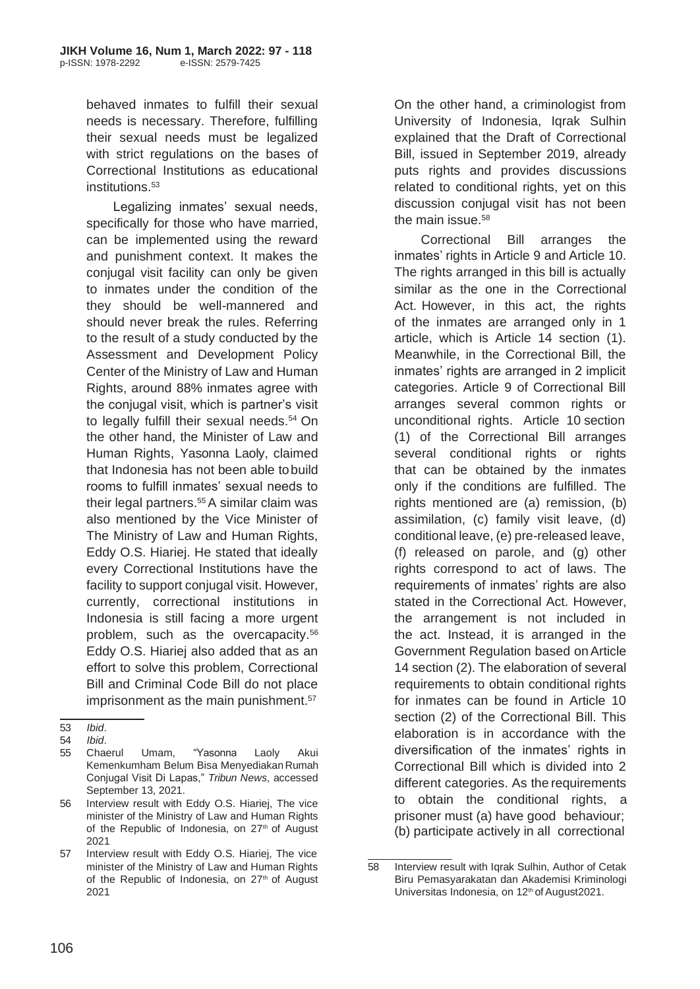behaved inmates to fulfill their sexual needs is necessary. Therefore, fulfilling their sexual needs must be legalized with strict regulations on the bases of Correctional Institutions as educational institutions.<sup>53</sup>

Legalizing inmates' sexual needs, specifically for those who have married, can be implemented using the reward and punishment context. It makes the conjugal visit facility can only be given to inmates under the condition of the they should be well-mannered and should never break the rules. Referring to the result of a study conducted by the Assessment and Development Policy Center of the Ministry of Law and Human Rights, around 88% inmates agree with the conjugal visit, which is partner's visit to legally fulfill their sexual needs.<sup>54</sup> On the other hand, the Minister of Law and Human Rights, Yasonna Laoly, claimed that Indonesia has not been able tobuild rooms to fulfill inmates' sexual needs to their legal partners.<sup>55</sup> A similar claim was also mentioned by the Vice Minister of The Ministry of Law and Human Rights, Eddy O.S. Hiariej. He stated that ideally every Correctional Institutions have the facility to support conjugal visit. However, currently, correctional institutions in Indonesia is still facing a more urgent problem, such as the overcapacity.<sup>56</sup> Eddy O.S. Hiariej also added that as an effort to solve this problem, Correctional Bill and Criminal Code Bill do not place imprisonment as the main punishment.<sup>57</sup>

On the other hand, a criminologist from University of Indonesia, Iqrak Sulhin explained that the Draft of Correctional Bill, issued in September 2019, already puts rights and provides discussions related to conditional rights, yet on this discussion conjugal visit has not been the main issue.<sup>58</sup>

Correctional Bill arranges the inmates' rights in Article 9 and Article 10. The rights arranged in this bill is actually similar as the one in the Correctional Act. However, in this act, the rights of the inmates are arranged only in 1 article, which is Article 14 section (1). Meanwhile, in the Correctional Bill, the inmates' rights are arranged in 2 implicit categories. Article 9 of Correctional Bill arranges several common rights or unconditional rights. Article 10 section (1) of the Correctional Bill arranges several conditional rights or rights that can be obtained by the inmates only if the conditions are fulfilled. The rights mentioned are (a) remission, (b) assimilation, (c) family visit leave, (d) conditional leave, (e) pre-released leave, (f) released on parole, and (g) other rights correspond to act of laws. The requirements of inmates' rights are also stated in the Correctional Act. However, the arrangement is not included in the act. Instead, it is arranged in the Government Regulation based onArticle 14 section (2). The elaboration of several requirements to obtain conditional rights for inmates can be found in Article 10 section (2) of the Correctional Bill. This elaboration is in accordance with the diversification of the inmates' rights in Correctional Bill which is divided into 2 different categories. As the requirements to obtain the conditional rights, a prisoner must (a) have good behaviour; (b) participate actively in all correctional

<sup>53</sup> *Ibid*.

<sup>54</sup> *Ibid*.

<sup>55</sup> Chaerul Umam, "Yasonna Laoly Akui Kemenkumham Belum Bisa Menyediakan Rumah Conjugal Visit Di Lapas," *Tribun News*, accessed September 13, 2021.

<sup>56</sup> Interview result with Eddy O.S. Hiariej, The vice minister of the Ministry of Law and Human Rights of the Republic of Indonesia, on 27<sup>th</sup> of August 2021

<sup>57</sup> Interview result with Eddy O.S. Hiariej, The vice minister of the Ministry of Law and Human Rights of the Republic of Indonesia, on 27<sup>th</sup> of August 2021

<sup>58</sup> Interview result with Iqrak Sulhin, Author of Cetak Biru Pemasyarakatan dan Akademisi Kriminologi Universitas Indonesia, on 12<sup>th</sup> of August2021.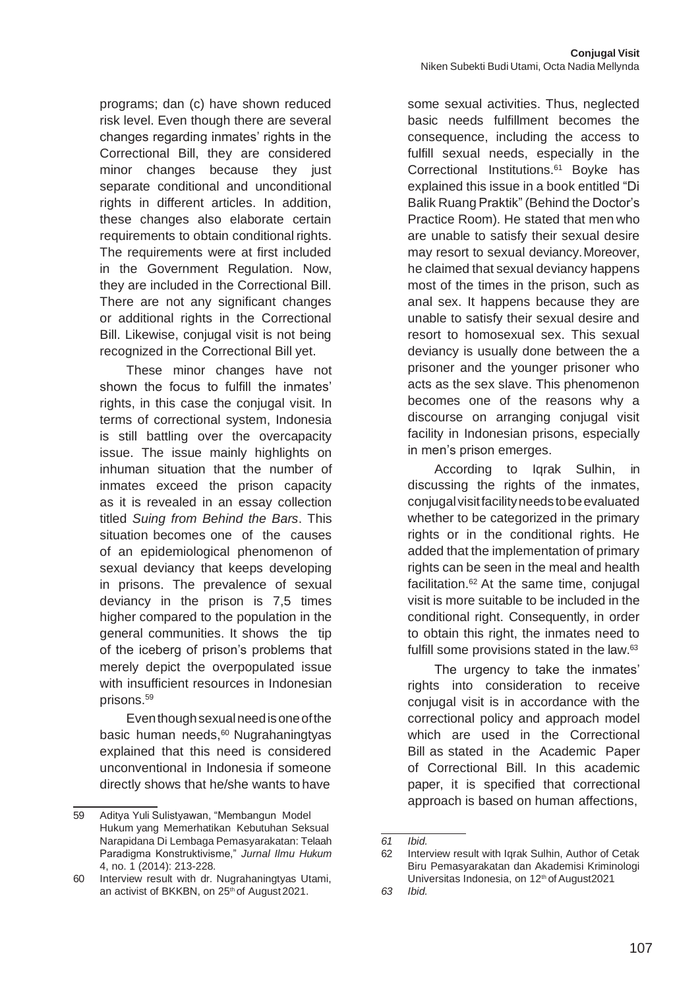programs; dan (c) have shown reduced risk level. Even though there are several changes regarding inmates' rights in the Correctional Bill, they are considered minor changes because they just separate conditional and unconditional rights in different articles. In addition, these changes also elaborate certain requirements to obtain conditional rights. The requirements were at first included in the Government Regulation. Now, they are included in the Correctional Bill. There are not any significant changes or additional rights in the Correctional Bill. Likewise, conjugal visit is not being recognized in the Correctional Bill yet.

These minor changes have not shown the focus to fulfill the inmates' rights, in this case the conjugal visit*.* In terms of correctional system, Indonesia is still battling over the overcapacity issue. The issue mainly highlights on inhuman situation that the number of inmates exceed the prison capacity as it is revealed in an essay collection titled *Suing from Behind the Bars*. This situation becomes one of the causes of an epidemiological phenomenon of sexual deviancy that keeps developing in prisons. The prevalence of sexual deviancy in the prison is 7,5 times higher compared to the population in the general communities. It shows the tip of the iceberg of prison's problems that merely depict the overpopulated issue with insufficient resources in Indonesian prisons.<sup>59</sup>

Eventhoughsexualneedisoneofthe basic human needs,<sup>60</sup> Nugrahaningtyas explained that this need is considered unconventional in Indonesia if someone directly shows that he/she wants to have

some sexual activities. Thus, neglected basic needs fulfillment becomes the consequence, including the access to fulfill sexual needs, especially in the Correctional Institutions.<sup>61</sup> Boyke has explained this issue in a book entitled "Di Balik Ruang Praktik" (Behind the Doctor's Practice Room). He stated that men who are unable to satisfy their sexual desire may resort to sexual deviancy.Moreover, he claimed that sexual deviancy happens most of the times in the prison, such as anal sex. It happens because they are unable to satisfy their sexual desire and resort to homosexual sex. This sexual deviancy is usually done between the a prisoner and the younger prisoner who acts as the sex slave. This phenomenon becomes one of the reasons why a discourse on arranging conjugal visit facility in Indonesian prisons, especially in men's prison emerges.

According to Iqrak Sulhin, in discussing the rights of the inmates, conjugalvisitfacilityneedstobeevaluated whether to be categorized in the primary rights or in the conditional rights. He added that the implementation of primary rights can be seen in the meal and health facilitation.<sup>62</sup> At the same time, conjugal visit is more suitable to be included in the conditional right. Consequently, in order to obtain this right, the inmates need to fulfill some provisions stated in the law.<sup>63</sup>

The urgency to take the inmates' rights into consideration to receive conjugal visit is in accordance with the correctional policy and approach model which are used in the Correctional Bill as stated in the Academic Paper of Correctional Bill. In this academic paper, it is specified that correctional approach is based on human affections,

<sup>59</sup> Aditya Yuli Sulistyawan, "Membangun Model Hukum yang Memerhatikan Kebutuhan Seksual Narapidana Di Lembaga Pemasyarakatan: Telaah Paradigma Konstruktivisme," *Jurnal Ilmu Hukum*  4, no. 1 (2014): 213-228.

<sup>60</sup> Interview result with dr. Nugrahaningtyas Utami, an activist of BKKBN, on 25<sup>th</sup> of August 2021.

*<sup>61</sup> Ibid.*

<sup>62</sup> Interview result with Iqrak Sulhin, Author of Cetak Biru Pemasyarakatan dan Akademisi Kriminologi Universitas Indonesia, on 12<sup>th</sup> of August2021

*<sup>63</sup> Ibid.*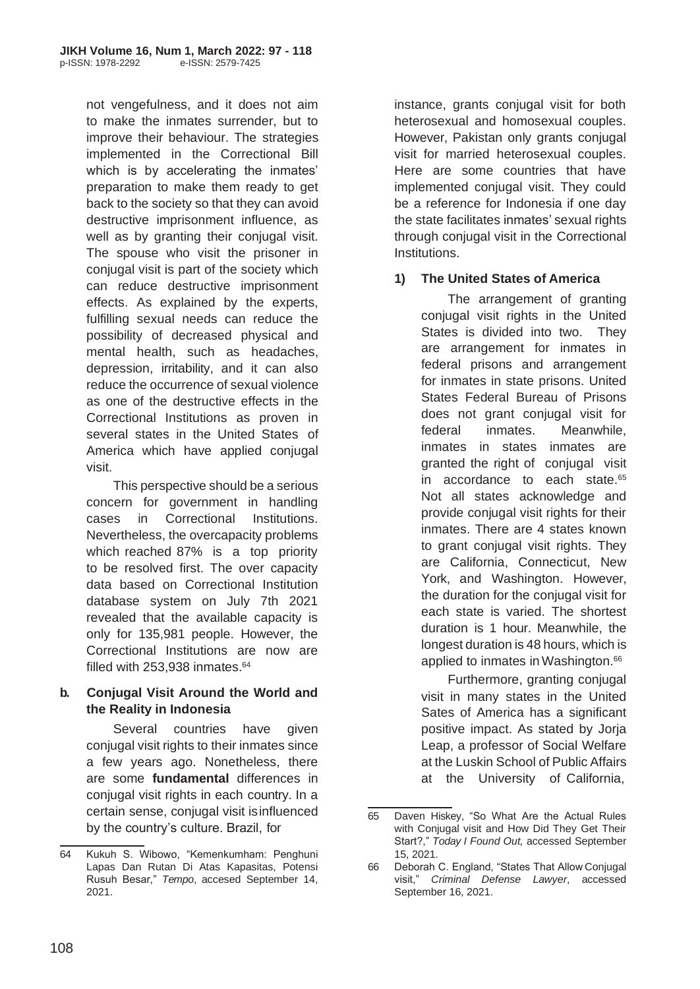not vengefulness, and it does not aim to make the inmates surrender, but to improve their behaviour. The strategies implemented in the Correctional Bill which is by accelerating the inmates' preparation to make them ready to get back to the society so that they can avoid destructive imprisonment influence, as well as by granting their conjugal visit. The spouse who visit the prisoner in conjugal visit is part of the society which can reduce destructive imprisonment effects. As explained by the experts, fulfilling sexual needs can reduce the possibility of decreased physical and mental health, such as headaches, depression, irritability, and it can also reduce the occurrence of sexual violence as one of the destructive effects in the Correctional Institutions as proven in several states in the United States of America which have applied conjugal visit.

This perspective should be a serious concern for government in handling cases in Correctional Institutions. Nevertheless, the overcapacity problems which reached 87% is a top priority to be resolved first. The over capacity data based on Correctional Institution database system on July 7th 2021 revealed that the available capacity is only for 135,981 people. However, the Correctional Institutions are now are filled with  $253,938$  inmates.  $64$ 

## **b. Conjugal Visit Around the World and the Reality in Indonesia**

Several countries have given conjugal visit rights to their inmates since a few years ago. Nonetheless, there are some **fundamental** differences in conjugal visit rights in each country. In a certain sense, conjugal visit isinfluenced by the country's culture. Brazil, for

instance, grants conjugal visit for both heterosexual and homosexual couples. However, Pakistan only grants conjugal visit for married heterosexual couples. Here are some countries that have implemented conjugal visit. They could be a reference for Indonesia if one day the state facilitates inmates' sexual rights through conjugal visit in the Correctional **Institutions** 

## **1) The United States of America**

The arrangement of granting conjugal visit rights in the United States is divided into two. They are arrangement for inmates in federal prisons and arrangement for inmates in state prisons. United States Federal Bureau of Prisons does not grant conjugal visit for federal inmates. Meanwhile, inmates in states inmates are granted the right of conjugal visit in accordance to each state.<sup>65</sup> Not all states acknowledge and provide conjugal visit rights for their inmates. There are 4 states known to grant conjugal visit rights. They are California, Connecticut, New York, and Washington. However, the duration for the conjugal visit for each state is varied. The shortest duration is 1 hour. Meanwhile, the longest duration is 48 hours, which is applied to inmates in Washington.<sup>66</sup>

Furthermore, granting conjugal visit in many states in the United Sates of America has a significant positive impact. As stated by Jorja Leap, a professor of Social Welfare at the Luskin School of Public Affairs at the University of California,

<sup>64</sup> Kukuh S. Wibowo, "Kemenkumham: Penghuni Lapas Dan Rutan Di Atas Kapasitas, Potensi Rusuh Besar," *Tempo*, accesed September 14, 2021.

<sup>65</sup> Daven Hiskey, "So What Are the Actual Rules with Conjugal visit and How Did They Get Their Start?," *Today I Found Out,* accessed September 15, 2021.

<sup>66</sup> Deborah C. England, "States That Allow Conjugal visit," *Criminal Defense Lawyer*, accessed September 16, 2021.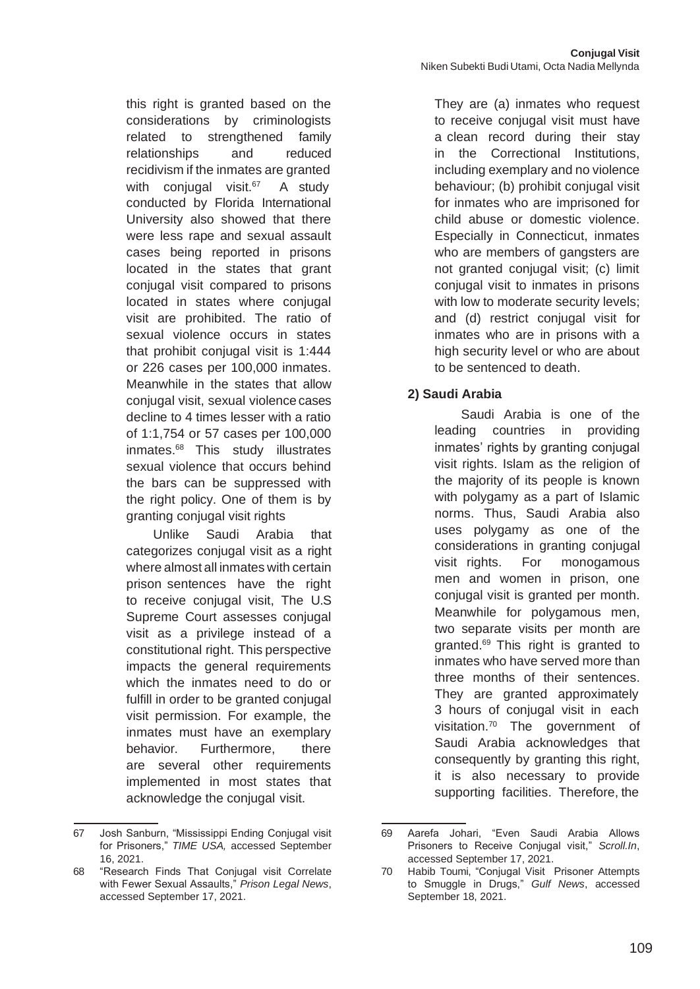this right is granted based on the considerations by criminologists related to strengthened family relationships and reduced recidivism if the inmates are granted with conjugal visit. $67$  A study conducted by Florida International University also showed that there were less rape and sexual assault cases being reported in prisons located in the states that grant conjugal visit compared to prisons located in states where conjugal visit are prohibited. The ratio of sexual violence occurs in states that prohibit conjugal visit is 1:444 or 226 cases per 100,000 inmates. Meanwhile in the states that allow conjugal visit, sexual violence cases decline to 4 times lesser with a ratio of 1:1,754 or 57 cases per 100,000  $inmates.<sup>68</sup>$  This study illustrates sexual violence that occurs behind the bars can be suppressed with the right policy. One of them is by granting conjugal visit rights

Unlike Saudi Arabia that categorizes conjugal visit as a right where almost all inmates with certain prison sentences have the right to receive conjugal visit, The U.S Supreme Court assesses conjugal visit as a privilege instead of a constitutional right. This perspective impacts the general requirements which the inmates need to do or fulfill in order to be granted conjugal visit permission. For example, the inmates must have an exemplary behavior. Furthermore, there are several other requirements implemented in most states that acknowledge the conjugal visit.

They are (a) inmates who request to receive conjugal visit must have a clean record during their stay in the Correctional Institutions, including exemplary and no violence behaviour; (b) prohibit conjugal visit for inmates who are imprisoned for child abuse or domestic violence. Especially in Connecticut, inmates who are members of gangsters are not granted conjugal visit; (c) limit conjugal visit to inmates in prisons with low to moderate security levels; and (d) restrict conjugal visit for inmates who are in prisons with a high security level or who are about to be sentenced to death.

#### **2) Saudi Arabia**

Saudi Arabia is one of the leading countries in providing inmates' rights by granting conjugal visit rights. Islam as the religion of the majority of its people is known with polygamy as a part of Islamic norms. Thus, Saudi Arabia also uses polygamy as one of the considerations in granting conjugal visit rights. For monogamous men and women in prison, one conjugal visit is granted per month. Meanwhile for polygamous men, two separate visits per month are granted. $69$  This right is granted to inmates who have served more than three months of their sentences. They are granted approximately 3 hours of conjugal visit in each visitation. $70$  The government of Saudi Arabia acknowledges that consequently by granting this right, it is also necessary to provide supporting facilities. Therefore, the

<sup>67</sup> Josh Sanburn, "Mississippi Ending Conjugal visit for Prisoners," *TIME USA,* accessed September 16, 2021.

<sup>68</sup> "Research Finds That Conjugal visit Correlate with Fewer Sexual Assaults," *Prison Legal News*, accessed September 17, 2021.

<sup>69</sup> Aarefa Johari, "Even Saudi Arabia Allows Prisoners to Receive Conjugal visit," *Scroll.In*, accessed September 17, 2021.

<sup>70</sup> Habib Toumi, "Conjugal Visit Prisoner Attempts to Smuggle in Drugs," *Gulf News*, accessed September 18, 2021.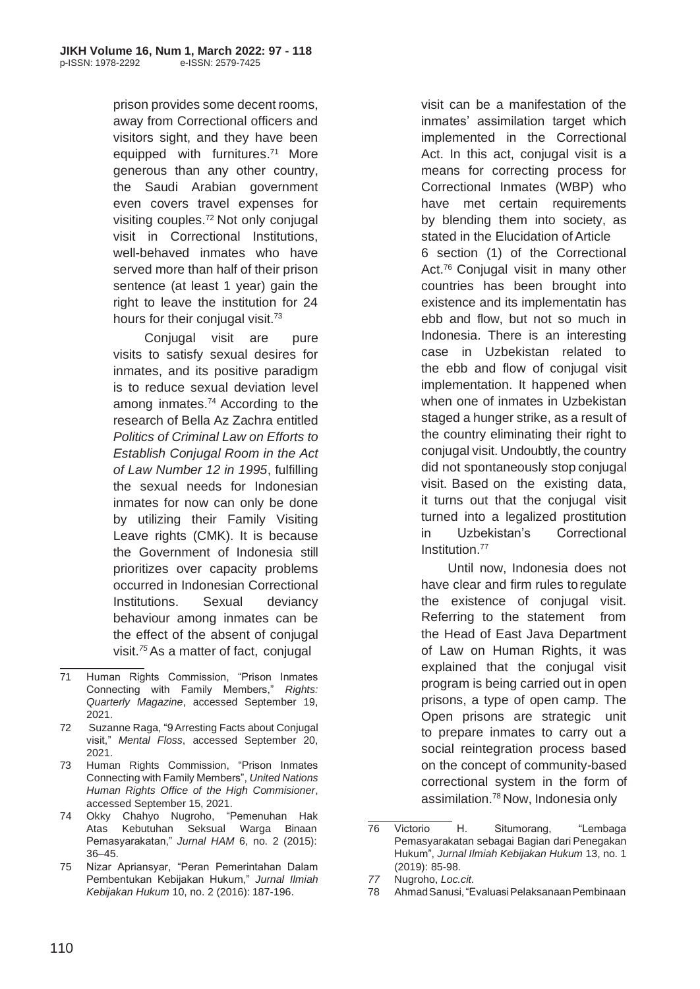prison provides some decent rooms, away from Correctional officers and visitors sight, and they have been equipped with furnitures.<sup>71</sup> More generous than any other country, the Saudi Arabian government even covers travel expenses for visiting couples.<sup>72</sup> Not only conjugal visit in Correctional Institutions, well-behaved inmates who have served more than half of their prison sentence (at least 1 year) gain the right to leave the institution for 24 hours for their conjugal visit.<sup>73</sup>

Conjugal visit are pure visits to satisfy sexual desires for inmates, and its positive paradigm is to reduce sexual deviation level among inmates.<sup>74</sup> According to the research of Bella Az Zachra entitled *Politics of Criminal Law on Efforts to Establish Conjugal Room in the Act of Law Number 12 in 1995*, fulfilling the sexual needs for Indonesian inmates for now can only be done by utilizing their Family Visiting Leave rights (CMK). It is because the Government of Indonesia still prioritizes over capacity problems occurred in Indonesian Correctional Institutions. Sexual deviancy behaviour among inmates can be the effect of the absent of conjugal visit.*<sup>75</sup>*As a matter of fact, conjugal

- 73 Human Rights Commission, "Prison Inmates Connecting with Family Members", *United Nations Human Rights Office of the High Commisioner*, accessed September 15, 2021.
- 74 Okky Chahyo Nugroho, "Pemenuhan Hak Atas Kebutuhan Seksual Warga Binaan Pemasyarakatan," *Jurnal HAM* 6, no. 2 (2015): 36–45.
- 75 Nizar Apriansyar, "Peran Pemerintahan Dalam Pembentukan Kebijakan Hukum," *Jurnal Ilmiah Kebijakan Hukum* 10, no. 2 (2016): 187-196.

visit can be a manifestation of the inmates' assimilation target which implemented in the Correctional Act. In this act, conjugal visit is a means for correcting process for Correctional Inmates (WBP) who have met certain requirements by blending them into society, as stated in the Elucidation of Article 6 section (1) of the Correctional Act.<sup>76</sup> Conjugal visit in many other countries has been brought into existence and its implementatin has ebb and flow, but not so much in Indonesia. There is an interesting case in Uzbekistan related to the ebb and flow of conjugal visit implementation. It happened when when one of inmates in Uzbekistan staged a hunger strike, as a result of the country eliminating their right to conjugal visit. Undoubtly, the country

did not spontaneously stop conjugal visit. Based on the existing data, it turns out that the conjugal visit turned into a legalized prostitution in Uzbekistan's Correctional Institution.<sup>77</sup>

Until now, Indonesia does not have clear and firm rules toregulate the existence of conjugal visit. Referring to the statement from the Head of East Java Department of Law on Human Rights, it was explained that the conjugal visit program is being carried out in open prisons, a type of open camp. The Open prisons are strategic unit to prepare inmates to carry out a social reintegration process based on the concept of community-based correctional system in the form of assimilation.<sup>78</sup>Now, Indonesia only

<sup>71</sup> Human Rights Commission, "Prison Inmates Connecting with Family Members," *Rights: Quarterly Magazine*, accessed September 19, 2021.

<sup>72</sup> Suzanne Raga, "9Arresting Facts about Conjugal visit," *Mental Floss*, accessed September 20, 2021.

<sup>76</sup> Victorio H. Situmorang, "Lembaga Pemasyarakatan sebagai Bagian dari Penegakan Hukum", *Jurnal Ilmiah Kebijakan Hukum* 13, no. 1 (2019): 85-98.

*<sup>77</sup>* Nugroho, *Loc.cit.*

<sup>78</sup> AhmadSanusi,"EvaluasiPelaksanaanPembinaan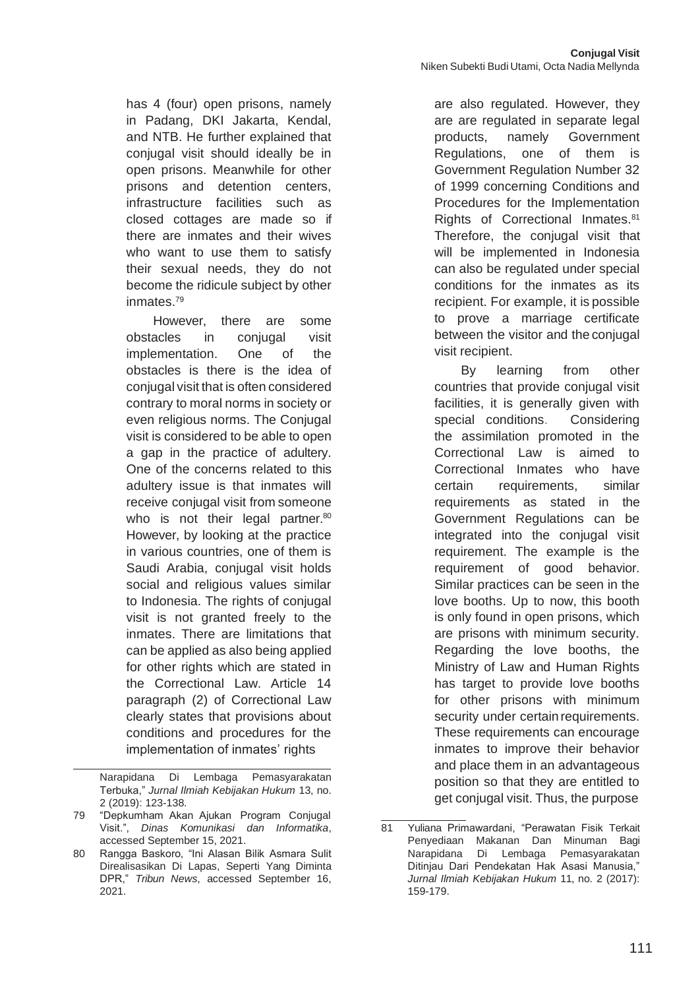has 4 (four) open prisons, namely in Padang, DKI Jakarta, Kendal, and NTB. He further explained that conjugal visit should ideally be in open prisons. Meanwhile for other prisons and detention centers, infrastructure facilities such as closed cottages are made so if there are inmates and their wives who want to use them to satisfy their sexual needs, they do not become the ridicule subject by other inmates.<sup>79</sup>

However, there are some obstacles in conjugal visit implementation. One of the obstacles is there is the idea of conjugal visit that is often considered contrary to moral norms in society or even religious norms. The Conjugal visit is considered to be able to open a gap in the practice of adultery. One of the concerns related to this adultery issue is that inmates will receive conjugal visit from someone who is not their legal partner.<sup>80</sup> However, by looking at the practice in various countries, one of them is Saudi Arabia, conjugal visit holds social and religious values similar to Indonesia. The rights of conjugal visit is not granted freely to the inmates. There are limitations that can be applied as also being applied for other rights which are stated in the Correctional Law. Article 14 paragraph (2) of Correctional Law clearly states that provisions about conditions and procedures for the implementation of inmates' rights

are also regulated. However, they are are regulated in separate legal products, namely Government Regulations, one of them is Government Regulation Number 32 of 1999 concerning Conditions and Procedures for the Implementation Rights of Correctional Inmates.<sup>81</sup> Therefore, the conjugal visit that will be implemented in Indonesia can also be regulated under special conditions for the inmates as its recipient. For example, it is possible to prove a marriage certificate between the visitor and the conjugal visit recipient.

By learning from other countries that provide conjugal visit facilities, it is generally given with special conditions. Considering the assimilation promoted in the Correctional Law is aimed to Correctional Inmates who have certain requirements, similar requirements as stated in the Government Regulations can be integrated into the conjugal visit requirement. The example is the requirement of good behavior. Similar practices can be seen in the love booths. Up to now, this booth is only found in open prisons, which are prisons with minimum security. Regarding the love booths, the Ministry of Law and Human Rights has target to provide love booths for other prisons with minimum security under certain requirements. These requirements can encourage inmates to improve their behavior and place them in an advantageous position so that they are entitled to get conjugal visit. Thus, the purpose

Narapidana Di Lembaga Pemasyarakatan Terbuka," *Jurnal Ilmiah Kebijakan Hukum* 13, no. 2 (2019): 123-138.

<sup>79</sup> "Depkumham Akan Ajukan Program Conjugal Visit.", *Dinas Komunikasi dan Informatika*, accessed September 15, 2021.

<sup>80</sup> Rangga Baskoro, "Ini Alasan Bilik Asmara Sulit Direalisasikan Di Lapas, Seperti Yang Diminta DPR," *Tribun News*, accessed September 16, 2021.

<sup>81</sup> Yuliana Primawardani, "Perawatan Fisik Terkait Penyediaan Makanan Dan Minuman Bagi Narapidana Di Lembaga Pemasyarakatan Ditinjau Dari Pendekatan Hak Asasi Manusia," *Jurnal Ilmiah Kebijakan Hukum* 11, no. 2 (2017): 159-179.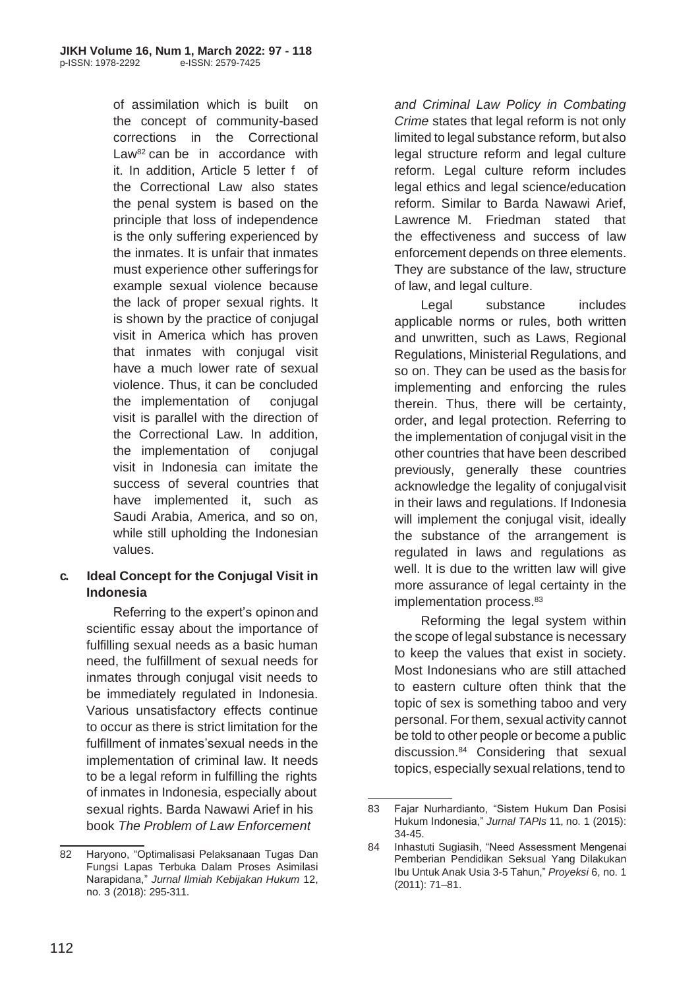of assimilation which is built on the concept of community-based corrections in the Correctional Law<sup>82</sup> can be in accordance with it. In addition, Article 5 letter f of the Correctional Law also states the penal system is based on the principle that loss of independence is the only suffering experienced by the inmates. It is unfair that inmates must experience other sufferings for example sexual violence because the lack of proper sexual rights. It is shown by the practice of conjugal visit in America which has proven that inmates with conjugal visit have a much lower rate of sexual violence. Thus, it can be concluded the implementation of conjugal visit is parallel with the direction of the Correctional Law. In addition, the implementation of conjugal visit in Indonesia can imitate the success of several countries that have implemented it, such as Saudi Arabia, America, and so on, while still upholding the Indonesian values.

## **c. Ideal Concept for the Conjugal Visit in Indonesia**

Referring to the expert's opinon and scientific essay about the importance of fulfilling sexual needs as a basic human need, the fulfillment of sexual needs for inmates through conjugal visit needs to be immediately regulated in Indonesia. Various unsatisfactory effects continue to occur as there is strict limitation for the fulfillment of inmates'sexual needs in the implementation of criminal law. It needs to be a legal reform in fulfilling the rights of inmates in Indonesia, especially about sexual rights. Barda Nawawi Arief in his book *The Problem of Law Enforcement*

*and Criminal Law Policy in Combating Crime* states that legal reform is not only limited to legal substance reform, but also legal structure reform and legal culture reform. Legal culture reform includes legal ethics and legal science/education reform. Similar to Barda Nawawi Arief, Lawrence M. Friedman stated that the effectiveness and success of law enforcement depends on three elements. They are substance of the law, structure of law, and legal culture.

Legal substance includes applicable norms or rules, both written and unwritten, such as Laws, Regional Regulations, Ministerial Regulations, and so on. They can be used as the basis for implementing and enforcing the rules therein. Thus, there will be certainty, order, and legal protection. Referring to the implementation of conjugal visit in the other countries that have been described previously, generally these countries acknowledge the legality of conjugalvisit in their laws and regulations. If Indonesia will implement the conjugal visit, ideally the substance of the arrangement is regulated in laws and regulations as well. It is due to the written law will give more assurance of legal certainty in the implementation process.<sup>83</sup>

Reforming the legal system within the scope of legal substance is necessary to keep the values that exist in society. Most Indonesians who are still attached to eastern culture often think that the topic of sex is something taboo and very personal. Forthem, sexual activity cannot be told to other people or become a public discussion.<sup>84</sup> Considering that sexual topics, especially sexual relations, tend to

<sup>82</sup> Haryono, "Optimalisasi Pelaksanaan Tugas Dan Fungsi Lapas Terbuka Dalam Proses Asimilasi Narapidana," *Jurnal Ilmiah Kebijakan Hukum* 12, no. 3 (2018): 295-311.

<sup>83</sup> Fajar Nurhardianto, "Sistem Hukum Dan Posisi Hukum Indonesia," *Jurnal TAPIs* 11, no. 1 (2015): 34-45.

<sup>84</sup> Inhastuti Sugiasih, "Need Assessment Mengenai Pemberian Pendidikan Seksual Yang Dilakukan Ibu Untuk Anak Usia 3-5 Tahun," *Proyeksi* 6, no. 1 (2011): 71–81.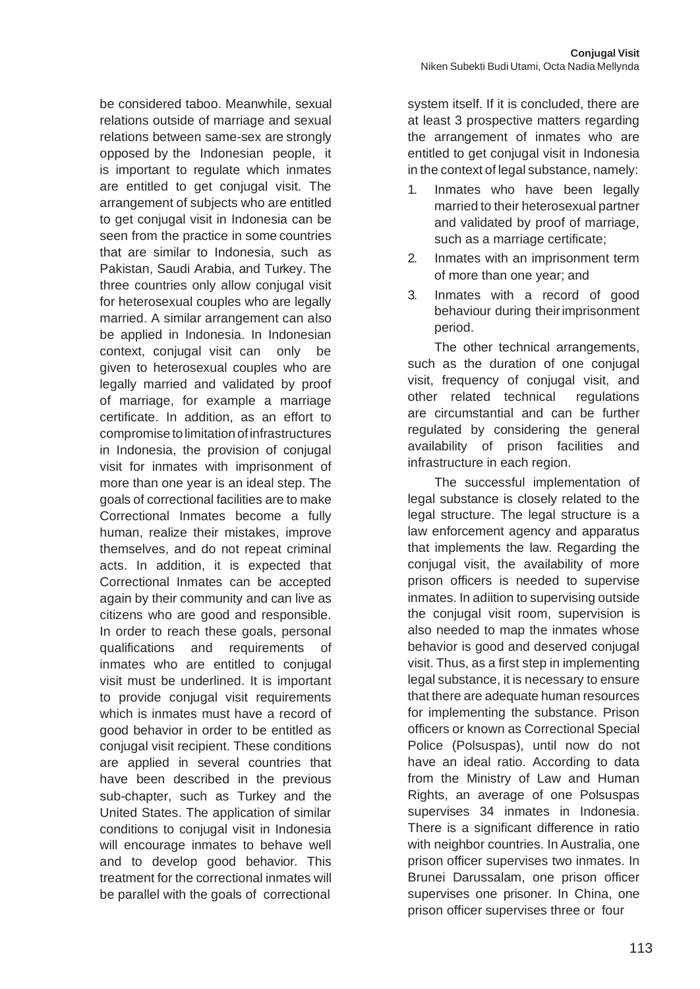be considered taboo. Meanwhile, sexual relations outside of marriage and sexual relations between same-sex are strongly opposed by the Indonesian people, it is important to regulate which inmates are entitled to get conjugal visit. The arrangement of subjects who are entitled to get conjugal visit in Indonesia can be seen from the practice in some countries that are similar to Indonesia, such as Pakistan, Saudi Arabia, and Turkey. The three countries only allow conjugal visit for heterosexual couples who are legally married. A similar arrangement can also be applied in Indonesia. In Indonesian context, conjugal visit can only be given to heterosexual couples who are legally married and validated by proof of marriage, for example a marriage certificate. In addition, as an effort to compromise tolimitationofinfrastructures in Indonesia, the provision of conjugal visit for inmates with imprisonment of more than one year is an ideal step. The goals of correctional facilities are to make Correctional Inmates become a fully human, realize their mistakes, improve themselves, and do not repeat criminal acts. In addition, it is expected that Correctional Inmates can be accepted again by their community and can live as citizens who are good and responsible. In order to reach these goals, personal qualifications and requirements of inmates who are entitled to conjugal visit must be underlined. It is important to provide conjugal visit requirements which is inmates must have a record of good behavior in order to be entitled as conjugal visit recipient. These conditions are applied in several countries that have been described in the previous sub-chapter, such as Turkey and the United States. The application of similar conditions to conjugal visit in Indonesia will encourage inmates to behave well and to develop good behavior. This treatment for the correctional inmates will be parallel with the goals of correctional system itself. If it is concluded, there are at least 3 prospective matters regarding the arrangement of inmates who are entitled to get conjugal visit in Indonesia in the context of legal substance, namely:

- 1. Inmates who have been legally married to their heterosexual partner and validated by proof of marriage, such as a marriage certificate;
- 2. Inmates with an imprisonment term of more than one year; and
- 3. Inmates with a record of good behaviour during theirimprisonment period.

The other technical arrangements, such as the duration of one conjugal visit, frequency of conjugal visit, and other related technical regulations are circumstantial and can be further regulated by considering the general availability of prison facilities and infrastructure in each region.

The successful implementation of legal substance is closely related to the legal structure. The legal structure is a law enforcement agency and apparatus that implements the law. Regarding the conjugal visit, the availability of more prison officers is needed to supervise inmates. In adiition to supervising outside the conjugal visit room, supervision is also needed to map the inmates whose behavior is good and deserved conjugal visit. Thus, as a first step in implementing legal substance, it is necessary to ensure that there are adequate human resources for implementing the substance. Prison officers or known as Correctional Special Police (Polsuspas), until now do not have an ideal ratio. According to data from the Ministry of Law and Human Rights, an average of one Polsuspas supervises 34 inmates in Indonesia. There is a significant difference in ratio with neighbor countries. In Australia, one prison officer supervises two inmates. In Brunei Darussalam, one prison officer supervises one prisoner. In China, one prison officer supervises three or four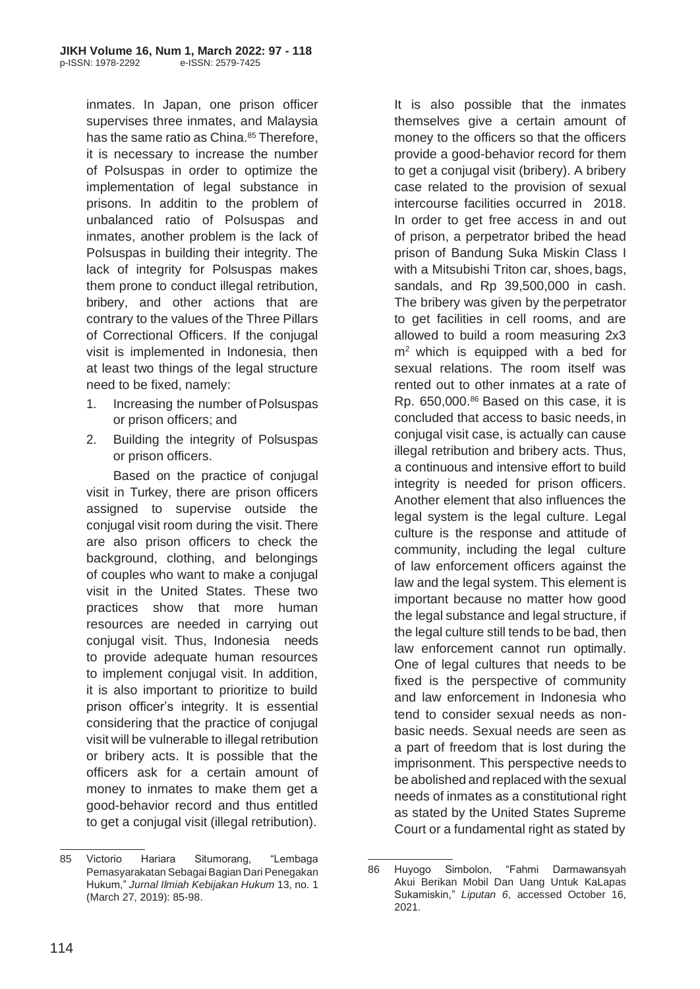inmates. In Japan, one prison officer supervises three inmates, and Malaysia has the same ratio as China.<sup>85</sup> Therefore, it is necessary to increase the number of Polsuspas in order to optimize the implementation of legal substance in prisons. In additin to the problem of unbalanced ratio of Polsuspas and inmates, another problem is the lack of Polsuspas in building their integrity. The lack of integrity for Polsuspas makes them prone to conduct illegal retribution, bribery, and other actions that are contrary to the values of the Three Pillars of Correctional Officers. If the conjugal visit is implemented in Indonesia, then at least two things of the legal structure need to be fixed, namely:

- 1. Increasing the number of Polsuspas or prison officers; and
- 2. Building the integrity of Polsuspas or prison officers.

Based on the practice of conjugal visit in Turkey, there are prison officers assigned to supervise outside the conjugal visit room during the visit. There are also prison officers to check the background, clothing, and belongings of couples who want to make a conjugal visit in the United States. These two practices show that more human resources are needed in carrying out conjugal visit. Thus, Indonesia needs to provide adequate human resources to implement conjugal visit. In addition, it is also important to prioritize to build prison officer's integrity. It is essential considering that the practice of conjugal visit will be vulnerable to illegal retribution or bribery acts. It is possible that the officers ask for a certain amount of money to inmates to make them get a good-behavior record and thus entitled to get a conjugal visit (illegal retribution).

It is also possible that the inmates themselves give a certain amount of money to the officers so that the officers provide a good-behavior record for them to get a conjugal visit (bribery). A bribery case related to the provision of sexual intercourse facilities occurred in 2018. In order to get free access in and out of prison, a perpetrator bribed the head prison of Bandung Suka Miskin Class I with a Mitsubishi Triton car, shoes, bags, sandals, and Rp 39,500,000 in cash. The bribery was given by the perpetrator to get facilities in cell rooms, and are allowed to build a room measuring 2x3  $m<sup>2</sup>$  which is equipped with a bed for sexual relations. The room itself was rented out to other inmates at a rate of Rp.  $650,000$ .<sup>86</sup> Based on this case, it is concluded that access to basic needs, in conjugal visit case, is actually can cause illegal retribution and bribery acts. Thus, a continuous and intensive effort to build integrity is needed for prison officers. Another element that also influences the legal system is the legal culture. Legal culture is the response and attitude of community, including the legal culture of law enforcement officers against the law and the legal system. This element is important because no matter how good the legal substance and legal structure, if the legal culture still tends to be bad, then law enforcement cannot run optimally. One of legal cultures that needs to be fixed is the perspective of community and law enforcement in Indonesia who tend to consider sexual needs as nonbasic needs. Sexual needs are seen as a part of freedom that is lost during the imprisonment. This perspective needs to be abolished and replaced with the sexual needs of inmates as a constitutional right as stated by the United States Supreme Court or a fundamental right as stated by

<sup>85</sup> Victorio Hariara Situmorang, "Lembaga Pemasyarakatan Sebagai Bagian Dari Penegakan Hukum," *Jurnal Ilmiah Kebijakan Hukum* 13, no. 1 (March 27, 2019): 85-98.

<sup>86</sup> Huyogo Simbolon, "Fahmi Darmawansyah Akui Berikan Mobil Dan Uang Untuk KaLapas Sukamiskin," *Liputan 6*, accessed October 16, 2021.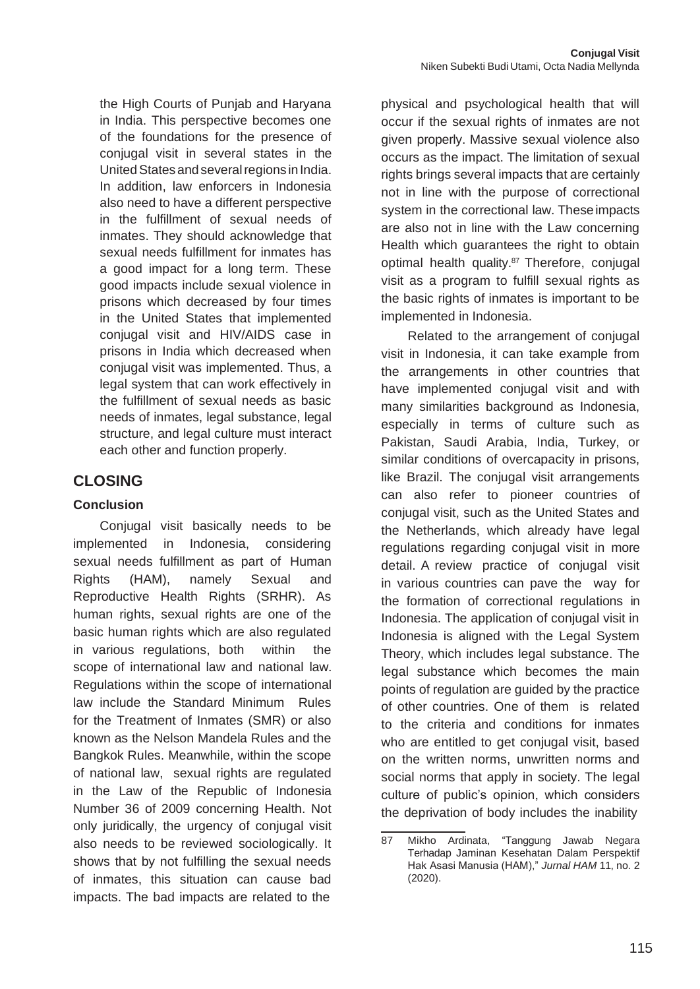the High Courts of Punjab and Haryana in India. This perspective becomes one of the foundations for the presence of conjugal visit in several states in the United States and several regions in India. In addition, law enforcers in Indonesia also need to have a different perspective in the fulfillment of sexual needs of inmates. They should acknowledge that sexual needs fulfillment for inmates has a good impact for a long term. These good impacts include sexual violence in prisons which decreased by four times in the United States that implemented conjugal visit and HIV/AIDS case in prisons in India which decreased when conjugal visit was implemented. Thus, a legal system that can work effectively in the fulfillment of sexual needs as basic needs of inmates, legal substance, legal structure, and legal culture must interact each other and function properly.

# **CLOSING**

## **Conclusion**

Conjugal visit basically needs to be implemented in Indonesia, considering sexual needs fulfillment as part of Human Rights (HAM), namely Sexual and Reproductive Health Rights (SRHR). As human rights, sexual rights are one of the basic human rights which are also regulated in various regulations, both within the scope of international law and national law. Regulations within the scope of international law include the Standard Minimum Rules for the Treatment of Inmates (SMR) or also known as the Nelson Mandela Rules and the Bangkok Rules. Meanwhile, within the scope of national law, sexual rights are regulated in the Law of the Republic of Indonesia Number 36 of 2009 concerning Health. Not only juridically, the urgency of conjugal visit also needs to be reviewed sociologically. It shows that by not fulfilling the sexual needs of inmates, this situation can cause bad impacts. The bad impacts are related to the

physical and psychological health that will occur if the sexual rights of inmates are not given properly. Massive sexual violence also occurs as the impact. The limitation of sexual rights brings several impacts that are certainly not in line with the purpose of correctional system in the correctional law. These impacts are also not in line with the Law concerning Health which guarantees the right to obtain optimal health quality.<sup>87</sup> Therefore, conjugal visit as a program to fulfill sexual rights as the basic rights of inmates is important to be implemented in Indonesia.

Related to the arrangement of conjugal visit in Indonesia, it can take example from the arrangements in other countries that have implemented conjugal visit and with many similarities background as Indonesia, especially in terms of culture such as Pakistan, Saudi Arabia, India, Turkey, or similar conditions of overcapacity in prisons, like Brazil. The conjugal visit arrangements can also refer to pioneer countries of conjugal visit, such as the United States and the Netherlands, which already have legal regulations regarding conjugal visit in more detail. A review practice of conjugal visit in various countries can pave the way for the formation of correctional regulations in Indonesia. The application of conjugal visit in Indonesia is aligned with the Legal System Theory, which includes legal substance. The legal substance which becomes the main points of regulation are guided by the practice of other countries. One of them is related to the criteria and conditions for inmates who are entitled to get conjugal visit, based on the written norms, unwritten norms and social norms that apply in society. The legal culture of public's opinion, which considers the deprivation of body includes the inability

<sup>87</sup> Mikho Ardinata, "Tanggung Jawab Negara Terhadap Jaminan Kesehatan Dalam Perspektif Hak Asasi Manusia (HAM)," *Jurnal HAM* 11, no. 2 (2020).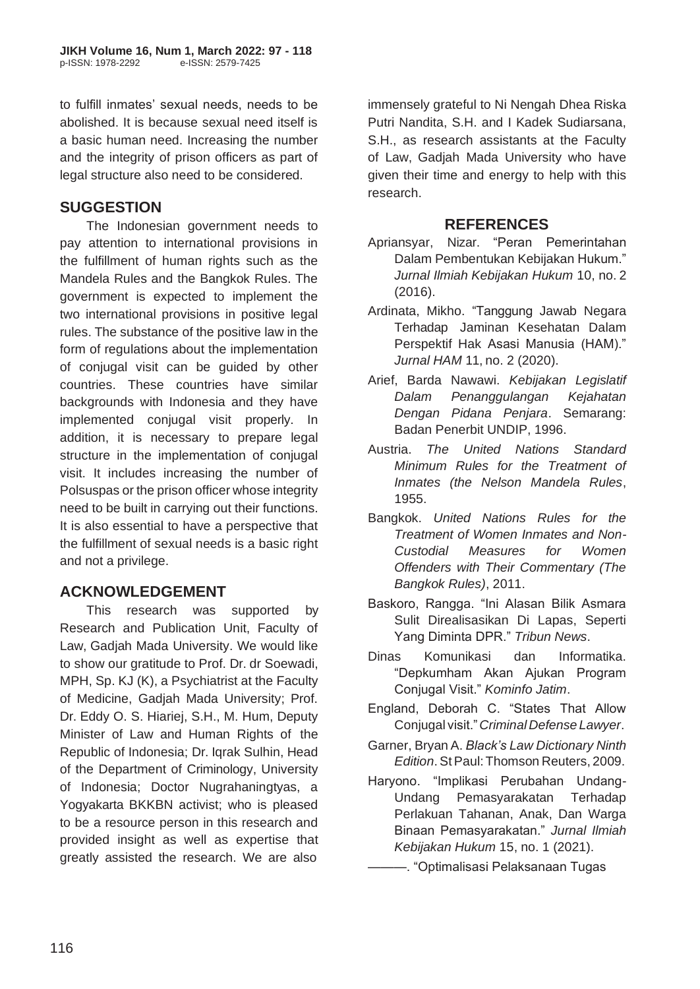to fulfill inmates' sexual needs, needs to be abolished. It is because sexual need itself is a basic human need. Increasing the number and the integrity of prison officers as part of legal structure also need to be considered.

## **SUGGESTION**

The Indonesian government needs to pay attention to international provisions in the fulfillment of human rights such as the Mandela Rules and the Bangkok Rules. The government is expected to implement the two international provisions in positive legal rules. The substance of the positive law in the form of regulations about the implementation of conjugal visit can be guided by other countries. These countries have similar backgrounds with Indonesia and they have implemented conjugal visit properly. In addition, it is necessary to prepare legal structure in the implementation of conjugal visit. It includes increasing the number of Polsuspas or the prison officer whose integrity need to be built in carrying out their functions. It is also essential to have a perspective that the fulfillment of sexual needs is a basic right and not a privilege.

# **ACKNOWLEDGEMENT**

This research was supported by Research and Publication Unit, Faculty of Law, Gadjah Mada University. We would like to show our gratitude to Prof. Dr. dr Soewadi, MPH, Sp. KJ (K), a Psychiatrist at the Faculty of Medicine, Gadjah Mada University; Prof. Dr. Eddy O. S. Hiariej, S.H., M. Hum, Deputy Minister of Law and Human Rights of the Republic of Indonesia; Dr. Iqrak Sulhin, Head of the Department of Criminology, University of Indonesia; Doctor Nugrahaningtyas, a Yogyakarta BKKBN activist; who is pleased to be a resource person in this research and provided insight as well as expertise that greatly assisted the research. We are also

immensely grateful to Ni Nengah Dhea Riska Putri Nandita, S.H. and I Kadek Sudiarsana, S.H., as research assistants at the Faculty of Law, Gadjah Mada University who have given their time and energy to help with this research.

## **REFERENCES**

- Apriansyar, Nizar. "Peran Pemerintahan Dalam Pembentukan Kebijakan Hukum." *Jurnal Ilmiah Kebijakan Hukum* 10, no. 2 (2016).
- Ardinata, Mikho. "Tanggung Jawab Negara Terhadap Jaminan Kesehatan Dalam Perspektif Hak Asasi Manusia (HAM)." *Jurnal HAM* 11, no. 2 (2020).
- Arief, Barda Nawawi. *Kebijakan Legislatif Dalam Penanggulangan Kejahatan Dengan Pidana Penjara*. Semarang: Badan Penerbit UNDIP, 1996.
- Austria. *The United Nations Standard Minimum Rules for the Treatment of Inmates (the Nelson Mandela Rules*, 1955.
- Bangkok. *United Nations Rules for the Treatment of Women Inmates and Non-Custodial Measures for Women Offenders with Their Commentary (The Bangkok Rules)*, 2011.
- Baskoro, Rangga. "Ini Alasan Bilik Asmara Sulit Direalisasikan Di Lapas, Seperti Yang Diminta DPR." *Tribun News*.
- Dinas Komunikasi dan Informatika. "Depkumham Akan Ajukan Program Conjugal Visit." *Kominfo Jatim*.
- England, Deborah C. "States That Allow Conjugal visit."*Criminal Defense Lawyer*.
- Garner, Bryan A. *Black's Law Dictionary Ninth Edition*. St Paul: Thomson Reuters, 2009.
- Haryono. "Implikasi Perubahan Undang-Undang Pemasyarakatan Terhadap Perlakuan Tahanan, Anak, Dan Warga Binaan Pemasyarakatan." *Jurnal Ilmiah Kebijakan Hukum* 15, no. 1 (2021).
	- ———. "Optimalisasi Pelaksanaan Tugas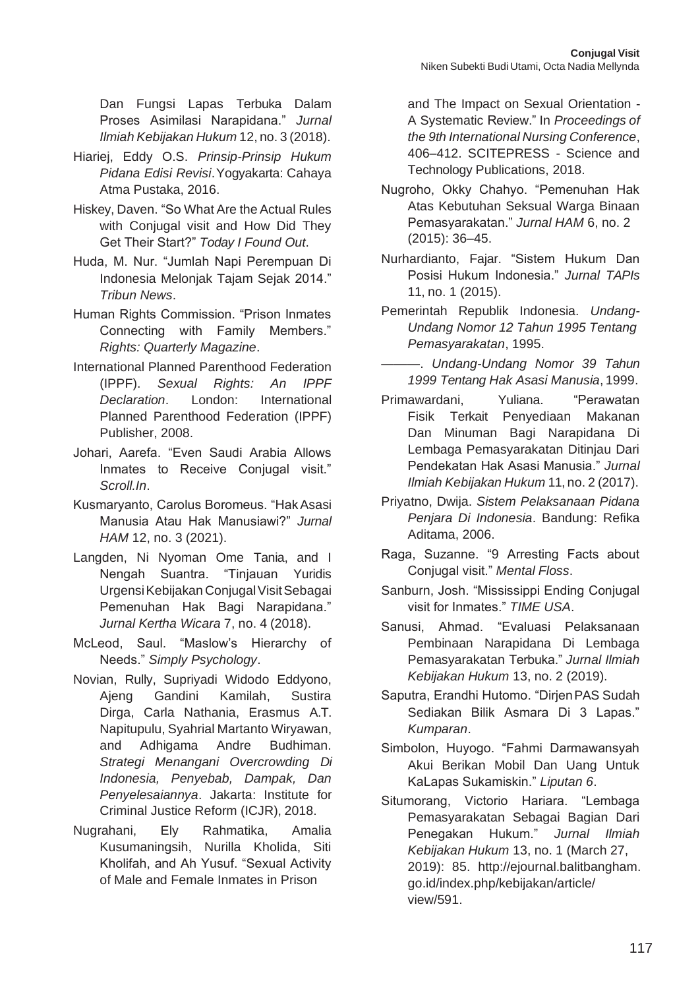Dan Fungsi Lapas Terbuka Dalam Proses Asimilasi Narapidana." *Jurnal Ilmiah Kebijakan Hukum* 12, no. 3 (2018).

- Hiariej, Eddy O.S. *Prinsip-Prinsip Hukum Pidana Edisi Revisi*.Yogyakarta: Cahaya Atma Pustaka, 2016.
- Hiskey, Daven. "So What Are the Actual Rules with Conjugal visit and How Did They Get Their Start?" *Today I Found Out*.
- Huda, M. Nur. "Jumlah Napi Perempuan Di Indonesia Melonjak Tajam Sejak 2014." *Tribun News*.
- Human Rights Commission. "Prison Inmates Connecting with Family Members." *Rights: Quarterly Magazine*.
- International Planned Parenthood Federation (IPPF). *Sexual Rights: An IPPF Declaration*. London: International Planned Parenthood Federation (IPPF) Publisher, 2008.
- Johari, Aarefa. "Even Saudi Arabia Allows Inmates to Receive Conjugal visit." *Scroll.In*.
- Kusmaryanto, Carolus Boromeus. "HakAsasi Manusia Atau Hak Manusiawi?" *Jurnal HAM* 12, no. 3 (2021).
- Langden, Ni Nyoman Ome Tania, and I Nengah Suantra. "Tinjauan Yuridis Urgensi Kebijakan Conjugal Visit Sebagai Pemenuhan Hak Bagi Narapidana." *Jurnal Kertha Wicara* 7, no. 4 (2018).
- McLeod, Saul. "Maslow's Hierarchy of Needs." *Simply Psychology*.
- Novian, Rully, Supriyadi Widodo Eddyono, Ajeng Gandini Kamilah, Sustira Dirga, Carla Nathania, Erasmus A.T. Napitupulu, Syahrial Martanto Wiryawan, and Adhigama Andre Budhiman. *Strategi Menangani Overcrowding Di Indonesia, Penyebab, Dampak, Dan Penyelesaiannya*. Jakarta: Institute for Criminal Justice Reform (ICJR), 2018.
- Nugrahani, Ely Rahmatika, Amalia Kusumaningsih, Nurilla Kholida, Siti Kholifah, and Ah Yusuf. "Sexual Activity of Male and Female Inmates in Prison

and The Impact on Sexual Orientation - A Systematic Review." In *Proceedings of the 9th International Nursing Conference*, 406–412. SCITEPRESS - Science and Technology Publications, 2018.

- Nugroho, Okky Chahyo. "Pemenuhan Hak Atas Kebutuhan Seksual Warga Binaan Pemasyarakatan." *Jurnal HAM* 6, no. 2 (2015): 36–45.
- Nurhardianto, Fajar. "Sistem Hukum Dan Posisi Hukum Indonesia." *Jurnal TAPIs* 11, no. 1 (2015).
- Pemerintah Republik Indonesia. *Undang-Undang Nomor 12 Tahun 1995 Tentang Pemasyarakatan*, 1995.
	- ———. *Undang-Undang Nomor 39 Tahun 1999 Tentang Hak Asasi Manusia*, 1999.
- Primawardani, Yuliana. "Perawatan Fisik Terkait Penyediaan Makanan Dan Minuman Bagi Narapidana Di Lembaga Pemasyarakatan Ditinjau Dari Pendekatan Hak Asasi Manusia." *Jurnal Ilmiah Kebijakan Hukum* 11, no. 2 (2017).
- Priyatno, Dwija. *Sistem Pelaksanaan Pidana Penjara Di Indonesia*. Bandung: Refika Aditama, 2006.
- Raga, Suzanne. "9 Arresting Facts about Conjugal visit." *Mental Floss*.
- Sanburn, Josh. "Mississippi Ending Conjugal visit for Inmates." *TIME USA*.
- Sanusi, Ahmad. "Evaluasi Pelaksanaan Pembinaan Narapidana Di Lembaga Pemasyarakatan Terbuka." *Jurnal Ilmiah Kebijakan Hukum* 13, no. 2 (2019).
- Saputra, Erandhi Hutomo. "DirjenPAS Sudah Sediakan Bilik Asmara Di 3 Lapas." *Kumparan*.
- Simbolon, Huyogo. "Fahmi Darmawansyah Akui Berikan Mobil Dan Uang Untuk KaLapas Sukamiskin." *Liputan 6*.
- Situmorang, Victorio Hariara. "Lembaga Pemasyarakatan Sebagai Bagian Dari Penegakan Hukum." *Jurnal Ilmiah Kebijakan Hukum* 13, no. 1 (March 27, 2019): 85. [http://ejournal.balitbangham.](http://ejournal.balitbangham/) go.id/index.php/kebijakan/article/ view/591.